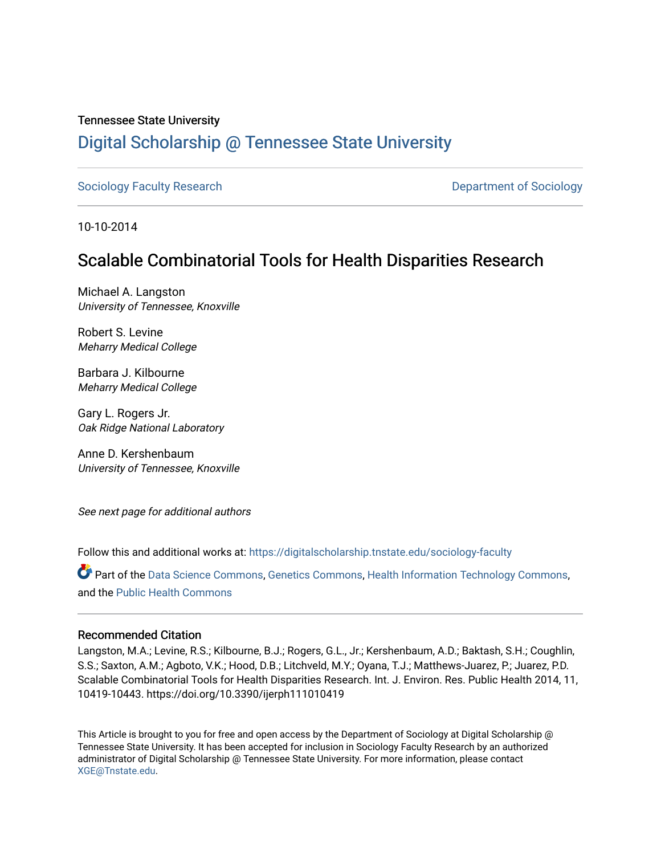## Tennessee State University [Digital Scholarship @ Tennessee State University](https://digitalscholarship.tnstate.edu/)

[Sociology Faculty Research](https://digitalscholarship.tnstate.edu/sociology-faculty) **Department of Sociology Department of Sociology** 

10-10-2014

# Scalable Combinatorial Tools for Health Disparities Research

Michael A. Langston University of Tennessee, Knoxville

Robert S. Levine Meharry Medical College

Barbara J. Kilbourne Meharry Medical College

Gary L. Rogers Jr. Oak Ridge National Laboratory

Anne D. Kershenbaum University of Tennessee, Knoxville

See next page for additional authors

Follow this and additional works at: [https://digitalscholarship.tnstate.edu/sociology-faculty](https://digitalscholarship.tnstate.edu/sociology-faculty?utm_source=digitalscholarship.tnstate.edu%2Fsociology-faculty%2F11&utm_medium=PDF&utm_campaign=PDFCoverPages) 

Part of the [Data Science Commons,](https://network.bepress.com/hgg/discipline/1429?utm_source=digitalscholarship.tnstate.edu%2Fsociology-faculty%2F11&utm_medium=PDF&utm_campaign=PDFCoverPages) [Genetics Commons,](https://network.bepress.com/hgg/discipline/29?utm_source=digitalscholarship.tnstate.edu%2Fsociology-faculty%2F11&utm_medium=PDF&utm_campaign=PDFCoverPages) [Health Information Technology Commons](https://network.bepress.com/hgg/discipline/1239?utm_source=digitalscholarship.tnstate.edu%2Fsociology-faculty%2F11&utm_medium=PDF&utm_campaign=PDFCoverPages), and the [Public Health Commons](https://network.bepress.com/hgg/discipline/738?utm_source=digitalscholarship.tnstate.edu%2Fsociology-faculty%2F11&utm_medium=PDF&utm_campaign=PDFCoverPages)

#### Recommended Citation

Langston, M.A.; Levine, R.S.; Kilbourne, B.J.; Rogers, G.L., Jr.; Kershenbaum, A.D.; Baktash, S.H.; Coughlin, S.S.; Saxton, A.M.; Agboto, V.K.; Hood, D.B.; Litchveld, M.Y.; Oyana, T.J.; Matthews-Juarez, P.; Juarez, P.D. Scalable Combinatorial Tools for Health Disparities Research. Int. J. Environ. Res. Public Health 2014, 11, 10419-10443. https://doi.org/10.3390/ijerph111010419

This Article is brought to you for free and open access by the Department of Sociology at Digital Scholarship @ Tennessee State University. It has been accepted for inclusion in Sociology Faculty Research by an authorized administrator of Digital Scholarship @ Tennessee State University. For more information, please contact [XGE@Tnstate.edu](mailto:XGE@Tnstate.edu).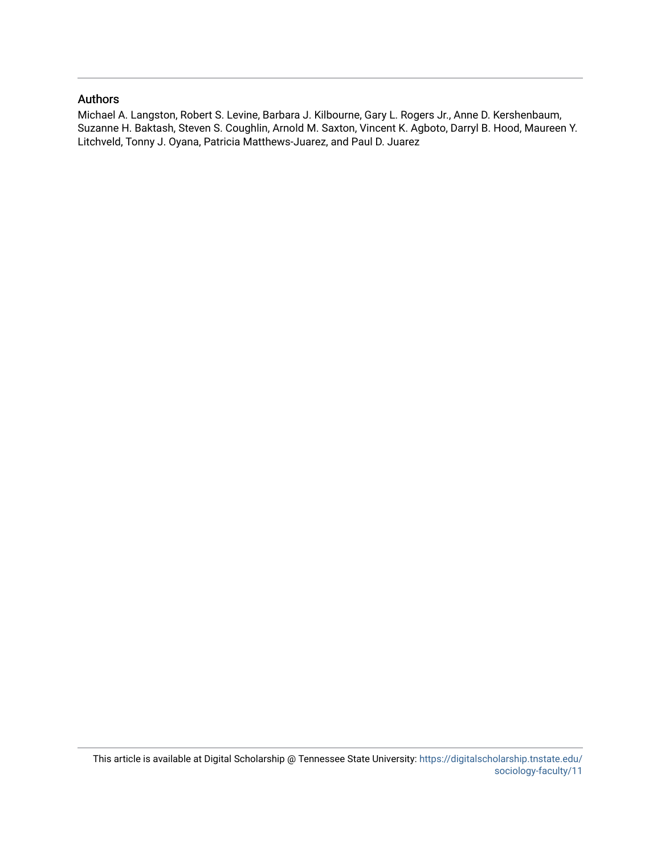## Authors

Michael A. Langston, Robert S. Levine, Barbara J. Kilbourne, Gary L. Rogers Jr., Anne D. Kershenbaum, Suzanne H. Baktash, Steven S. Coughlin, Arnold M. Saxton, Vincent K. Agboto, Darryl B. Hood, Maureen Y. Litchveld, Tonny J. Oyana, Patricia Matthews-Juarez, and Paul D. Juarez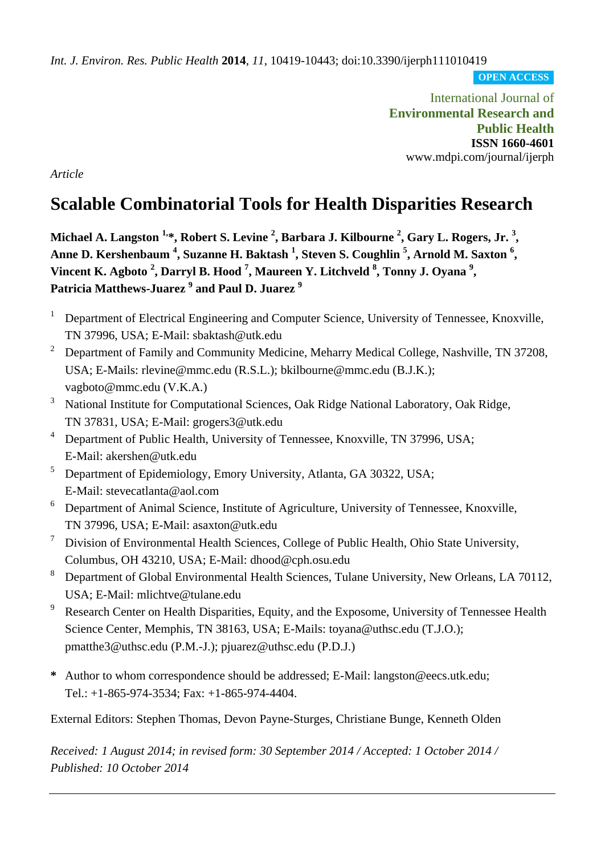*Int. J. Environ. Res. Public Health* **2014**, *11*, 10419-10443; doi:10.3390/ijerph111010419

**OPEN ACCESS**

International Journal of **Environmental Research and Public Health ISSN 1660-4601** www.mdpi.com/journal/ijerph

*Article*

# **Scalable Combinatorial Tools for Health Disparities Research**

**Michael A. Langston 1, \*, Robert S. Levine <sup>2</sup> , Barbara J. Kilbourne <sup>2</sup> , Gary L. Rogers, Jr. <sup>3</sup> , Anne D. Kershenbaum <sup>4</sup> , Suzanne H. Baktash <sup>1</sup> , Steven S. Coughlin <sup>5</sup> , Arnold M. Saxton <sup>6</sup> , Vincent K. Agboto <sup>2</sup> , Darryl B. Hood <sup>7</sup> , Maureen Y. Litchveld <sup>8</sup> , Tonny J. Oyana <sup>9</sup> , Patricia Matthews-Juarez <sup>9</sup> and Paul D. Juarez <sup>9</sup>**

- <sup>1</sup> Department of Electrical Engineering and Computer Science, University of Tennessee, Knoxville, TN 37996, USA; E-Mail: sbaktash@utk.edu
- <sup>2</sup> Department of Family and Community Medicine, Meharry Medical College, Nashville, TN 37208, USA; E-Mails: rlevine@mmc.edu (R.S.L.); bkilbourne@mmc.edu (B.J.K.); vagboto@mmc.edu (V.K.A.)
- <sup>3</sup> National Institute for Computational Sciences, Oak Ridge National Laboratory, Oak Ridge, TN 37831, USA; E-Mail: grogers3@utk.edu
- <sup>4</sup> Department of Public Health, University of Tennessee, Knoxville, TN 37996, USA; E-Mail: akershen@utk.edu
- <sup>5</sup> Department of Epidemiology, Emory University, Atlanta, GA 30322, USA; E-Mail: stevecatlanta@aol.com
- <sup>6</sup> Department of Animal Science, Institute of Agriculture, University of Tennessee, Knoxville, TN 37996, USA; E-Mail: asaxton@utk.edu
- <sup>7</sup> Division of Environmental Health Sciences, College of Public Health, Ohio State University, Columbus, OH 43210, USA; E-Mail: dhood@cph.osu.edu
- <sup>8</sup> Department of Global Environmental Health Sciences, Tulane University, New Orleans, LA 70112, USA; E-Mail: mlichtve@tulane.edu
- <sup>9</sup> Research Center on Health Disparities, Equity, and the Exposome, University of Tennessee Health Science Center, Memphis, TN 38163, USA; E-Mails: toyana@uthsc.edu (T.J.O.); pmatthe3@uthsc.edu (P.M.-J.); pjuarez@uthsc.edu (P.D.J.)
- **\*** Author to whom correspondence should be addressed; E-Mail: langston@eecs.utk.edu; Tel.: +1-865-974-3534; Fax: +1-865-974-4404.

External Editors: Stephen Thomas, Devon Payne-Sturges, Christiane Bunge, Kenneth Olden

*Received: 1 August 2014; in revised form: 30 September 2014 / Accepted: 1 October 2014 / Published: 10 October 2014*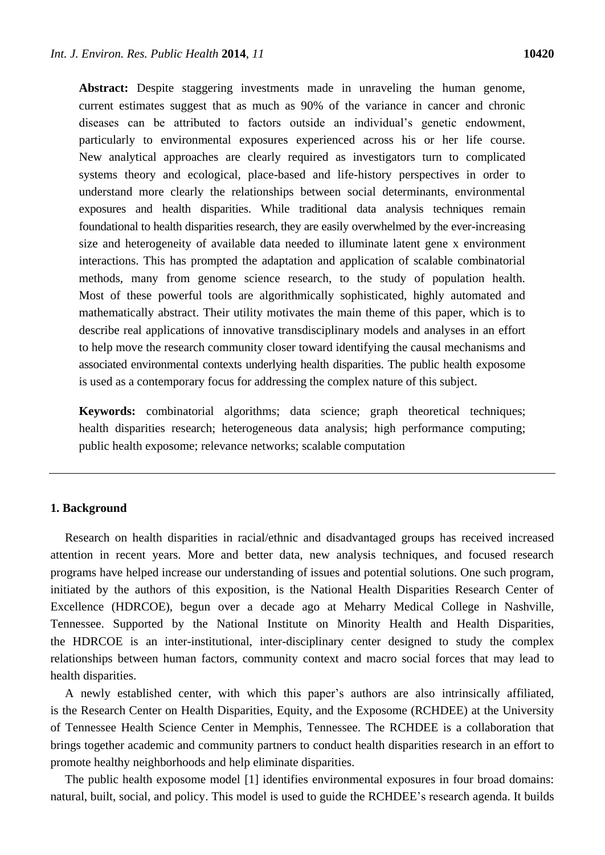Abstract: Despite staggering investments made in unraveling the human genome, current estimates suggest that as much as 90% of the variance in cancer and chronic diseases can be attributed to factors outside an individual's genetic endowment, particularly to environmental exposures experienced across his or her life course. New analytical approaches are clearly required as investigators turn to complicated systems theory and ecological, place-based and life-history perspectives in order to understand more clearly the relationships between social determinants, environmental exposures and health disparities. While traditional data analysis techniques remain foundational to health disparities research, they are easily overwhelmed by the ever-increasing size and heterogeneity of available data needed to illuminate latent gene x environment interactions. This has prompted the adaptation and application of scalable combinatorial methods, many from genome science research, to the study of population health. Most of these powerful tools are algorithmically sophisticated, highly automated and mathematically abstract. Their utility motivates the main theme of this paper, which is to describe real applications of innovative transdisciplinary models and analyses in an effort to help move the research community closer toward identifying the causal mechanisms and associated environmental contexts underlying health disparities. The public health exposome is used as a contemporary focus for addressing the complex nature of this subject.

**Keywords:** combinatorial algorithms; data science; graph theoretical techniques; health disparities research; heterogeneous data analysis; high performance computing; public health exposome; relevance networks; scalable computation

#### **1. Background**

Research on health disparities in racial/ethnic and disadvantaged groups has received increased attention in recent years. More and better data, new analysis techniques, and focused research programs have helped increase our understanding of issues and potential solutions. One such program, initiated by the authors of this exposition, is the National Health Disparities Research Center of Excellence (HDRCOE), begun over a decade ago at Meharry Medical College in Nashville, Tennessee. Supported by the National Institute on Minority Health and Health Disparities, the HDRCOE is an inter-institutional, inter-disciplinary center designed to study the complex relationships between human factors, community context and macro social forces that may lead to health disparities.

A newly established center, with which this paper's authors are also intrinsically affiliated, is the Research Center on Health Disparities, Equity, and the Exposome (RCHDEE) at the University of Tennessee Health Science Center in Memphis, Tennessee. The RCHDEE is a collaboration that brings together academic and community partners to conduct health disparities research in an effort to promote healthy neighborhoods and help eliminate disparities.

The public health exposome model [\[1\]](#page-19-0) identifies environmental exposures in four broad domains: natural, built, social, and policy. This model is used to guide the RCHDEE's research agenda. It builds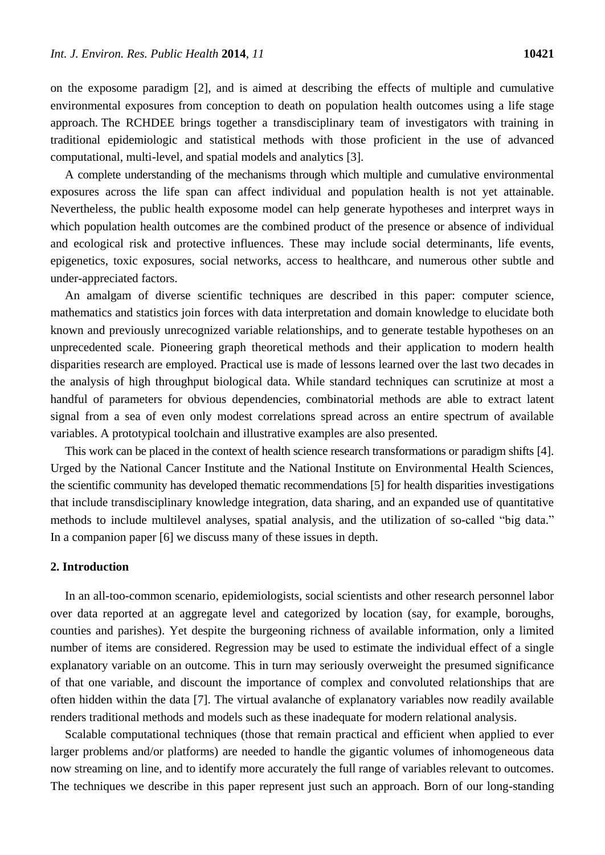on the exposome paradigm [\[2\]](#page-19-1), and is aimed at describing the effects of multiple and cumulative environmental exposures from conception to death on population health outcomes using a life stage approach. The RCHDEE brings together a transdisciplinary team of investigators with training in traditional epidemiologic and statistical methods with those proficient in the use of advanced computational, multi-level, and spatial models and analytics [\[3\]](#page-19-2).

A complete understanding of the mechanisms through which multiple and cumulative environmental exposures across the life span can affect individual and population health is not yet attainable. Nevertheless, the public health exposome model can help generate hypotheses and interpret ways in which population health outcomes are the combined product of the presence or absence of individual and ecological risk and protective influences. These may include social determinants, life events, epigenetics, toxic exposures, social networks, access to healthcare, and numerous other subtle and under-appreciated factors.

An amalgam of diverse scientific techniques are described in this paper: computer science, mathematics and statistics join forces with data interpretation and domain knowledge to elucidate both known and previously unrecognized variable relationships, and to generate testable hypotheses on an unprecedented scale. Pioneering graph theoretical methods and their application to modern health disparities research are employed. Practical use is made of lessons learned over the last two decades in the analysis of high throughput biological data. While standard techniques can scrutinize at most a handful of parameters for obvious dependencies, combinatorial methods are able to extract latent signal from a sea of even only modest correlations spread across an entire spectrum of available variables. A prototypical toolchain and illustrative examples are also presented.

This work can be placed in the context of health science research transformations or paradigm shifts [\[4\]](#page-19-3). Urged by the National Cancer Institute and the National Institute on Environmental Health Sciences, the scientific community has developed thematic recommendations [\[5\]](#page-19-4) for health disparities investigations that include transdisciplinary knowledge integration, data sharing, and an expanded use of quantitative methods to include multilevel analyses, spatial analysis, and the utilization of so-called "big data." In a companion paper [\[6\]](#page-19-5) we discuss many of these issues in depth.

## **2. Introduction**

In an all-too-common scenario, epidemiologists, social scientists and other research personnel labor over data reported at an aggregate level and categorized by location (say, for example, boroughs, counties and parishes). Yet despite the burgeoning richness of available information, only a limited number of items are considered. Regression may be used to estimate the individual effect of a single explanatory variable on an outcome. This in turn may seriously overweight the presumed significance of that one variable, and discount the importance of complex and convoluted relationships that are often hidden within the data [\[7\]](#page-19-6). The virtual avalanche of explanatory variables now readily available renders traditional methods and models such as these inadequate for modern relational analysis.

Scalable computational techniques (those that remain practical and efficient when applied to ever larger problems and/or platforms) are needed to handle the gigantic volumes of inhomogeneous data now streaming on line, and to identify more accurately the full range of variables relevant to outcomes. The techniques we describe in this paper represent just such an approach. Born of our long-standing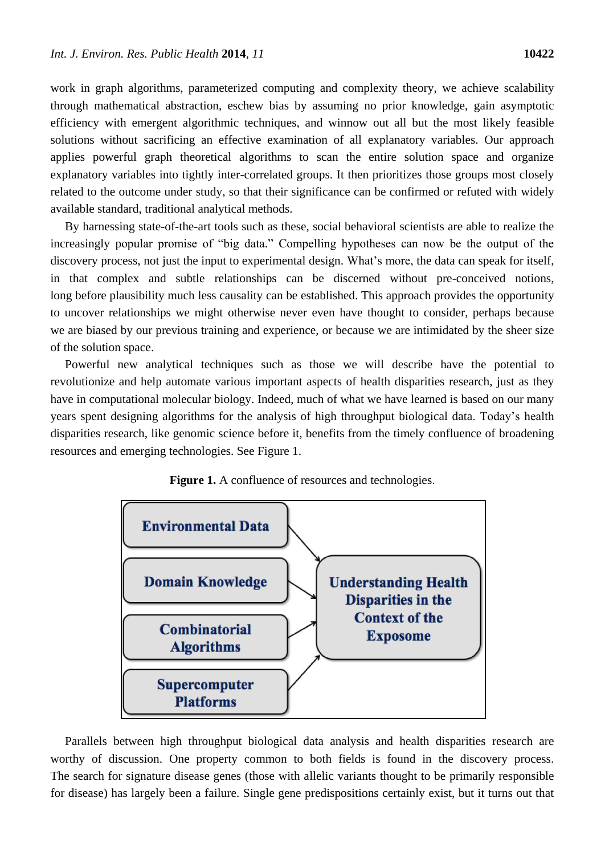work in graph algorithms, parameterized computing and complexity theory, we achieve scalability through mathematical abstraction, eschew bias by assuming no prior knowledge, gain asymptotic efficiency with emergent algorithmic techniques, and winnow out all but the most likely feasible solutions without sacrificing an effective examination of all explanatory variables. Our approach applies powerful graph theoretical algorithms to scan the entire solution space and organize explanatory variables into tightly inter-correlated groups. It then prioritizes those groups most closely related to the outcome under study, so that their significance can be confirmed or refuted with widely available standard, traditional analytical methods.

By harnessing state-of-the-art tools such as these, social behavioral scientists are able to realize the increasingly popular promise of "big data." Compelling hypotheses can now be the output of the discovery process, not just the input to experimental design. What's more, the data can speak for itself, in that complex and subtle relationships can be discerned without pre-conceived notions, long before plausibility much less causality can be established. This approach provides the opportunity to uncover relationships we might otherwise never even have thought to consider, perhaps because we are biased by our previous training and experience, or because we are intimidated by the sheer size of the solution space.

Powerful new analytical techniques such as those we will describe have the potential to revolutionize and help automate various important aspects of health disparities research, just as they have in computational molecular biology. Indeed, much of what we have learned is based on our many years spent designing algorithms for the analysis of high throughput biological data. Today's health disparities research, like genomic science before it, benefits from the timely confluence of broadening resources and emerging technologies. See Figure 1.



Figure 1. A confluence of resources and technologies.

Parallels between high throughput biological data analysis and health disparities research are worthy of discussion. One property common to both fields is found in the discovery process. The search for signature disease genes (those with allelic variants thought to be primarily responsible for disease) has largely been a failure. Single gene predispositions certainly exist, but it turns out that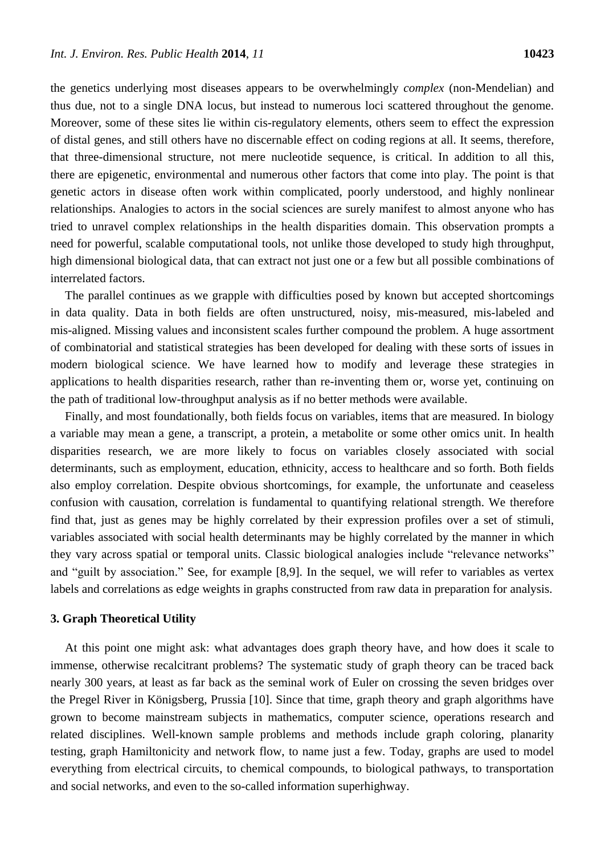the genetics underlying most diseases appears to be overwhelmingly *complex* (non-Mendelian) and thus due, not to a single DNA locus, but instead to numerous loci scattered throughout the genome. Moreover, some of these sites lie within cis-regulatory elements, others seem to effect the expression of distal genes, and still others have no discernable effect on coding regions at all. It seems, therefore, that three-dimensional structure, not mere nucleotide sequence, is critical. In addition to all this, there are epigenetic, environmental and numerous other factors that come into play. The point is that genetic actors in disease often work within complicated, poorly understood, and highly nonlinear relationships. Analogies to actors in the social sciences are surely manifest to almost anyone who has tried to unravel complex relationships in the health disparities domain. This observation prompts a need for powerful, scalable computational tools, not unlike those developed to study high throughput, high dimensional biological data, that can extract not just one or a few but all possible combinations of interrelated factors.

The parallel continues as we grapple with difficulties posed by known but accepted shortcomings in data quality. Data in both fields are often unstructured, noisy, mis-measured, mis-labeled and mis-aligned. Missing values and inconsistent scales further compound the problem. A huge assortment of combinatorial and statistical strategies has been developed for dealing with these sorts of issues in modern biological science. We have learned how to modify and leverage these strategies in applications to health disparities research, rather than re-inventing them or, worse yet, continuing on the path of traditional low-throughput analysis as if no better methods were available.

Finally, and most foundationally, both fields focus on variables, items that are measured. In biology a variable may mean a gene, a transcript, a protein, a metabolite or some other omics unit. In health disparities research, we are more likely to focus on variables closely associated with social determinants, such as employment, education, ethnicity, access to healthcare and so forth. Both fields also employ correlation. Despite obvious shortcomings, for example, the unfortunate and ceaseless confusion with causation, correlation is fundamental to quantifying relational strength. We therefore find that, just as genes may be highly correlated by their expression profiles over a set of stimuli, variables associated with social health determinants may be highly correlated by the manner in which they vary across spatial or temporal units. Classic biological analogies include "relevance networks" and "guilt by association." See, for example [\[8,](#page-19-7)[9\]](#page-19-8). In the sequel, we will refer to variables as vertex labels and correlations as edge weights in graphs constructed from raw data in preparation for analysis.

#### **3. Graph Theoretical Utility**

At this point one might ask: what advantages does graph theory have, and how does it scale to immense, otherwise recalcitrant problems? The systematic study of graph theory can be traced back nearly 300 years, at least as far back as the seminal work of Euler on crossing the seven bridges over the Pregel River in Königsberg, Prussia [\[10\]](#page-19-9). Since that time, graph theory and graph algorithms have grown to become mainstream subjects in mathematics, computer science, operations research and related disciplines. Well-known sample problems and methods include graph coloring, planarity testing, graph Hamiltonicity and network flow, to name just a few. Today, graphs are used to model everything from electrical circuits, to chemical compounds, to biological pathways, to transportation and social networks, and even to the so-called information superhighway.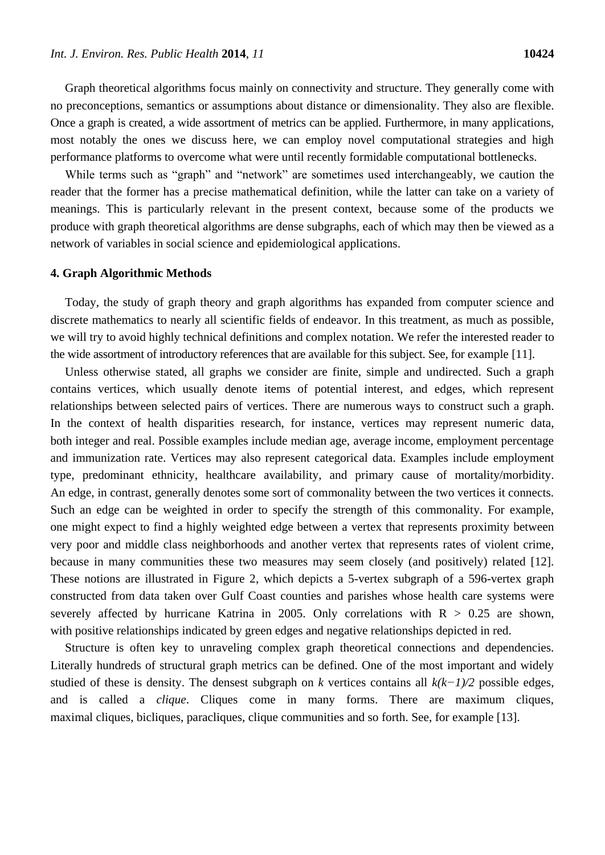Graph theoretical algorithms focus mainly on connectivity and structure. They generally come with no preconceptions, semantics or assumptions about distance or dimensionality. They also are flexible. Once a graph is created, a wide assortment of metrics can be applied. Furthermore, in many applications, most notably the ones we discuss here, we can employ novel computational strategies and high performance platforms to overcome what were until recently formidable computational bottlenecks.

While terms such as "graph" and "network" are sometimes used interchangeably, we caution the reader that the former has a precise mathematical definition, while the latter can take on a variety of meanings. This is particularly relevant in the present context, because some of the products we produce with graph theoretical algorithms are dense subgraphs, each of which may then be viewed as a network of variables in social science and epidemiological applications.

#### **4. Graph Algorithmic Methods**

Today, the study of graph theory and graph algorithms has expanded from computer science and discrete mathematics to nearly all scientific fields of endeavor. In this treatment, as much as possible, we will try to avoid highly technical definitions and complex notation. We refer the interested reader to the wide assortment of introductory references that are available for this subject. See, for example [\[11\]](#page-19-10).

Unless otherwise stated, all graphs we consider are finite, simple and undirected. Such a graph contains vertices, which usually denote items of potential interest, and edges, which represent relationships between selected pairs of vertices. There are numerous ways to construct such a graph. In the context of health disparities research, for instance, vertices may represent numeric data, both integer and real. Possible examples include median age, average income, employment percentage and immunization rate. Vertices may also represent categorical data. Examples include employment type, predominant ethnicity, healthcare availability, and primary cause of mortality/morbidity. An edge, in contrast, generally denotes some sort of commonality between the two vertices it connects. Such an edge can be weighted in order to specify the strength of this commonality. For example, one might expect to find a highly weighted edge between a vertex that represents proximity between very poor and middle class neighborhoods and another vertex that represents rates of violent crime, because in many communities these two measures may seem closely (and positively) related [\[12\]](#page-19-11). These notions are illustrated in Figure 2, which depicts a 5-vertex subgraph of a 596-vertex graph constructed from data taken over Gulf Coast counties and parishes whose health care systems were severely affected by hurricane Katrina in 2005. Only correlations with  $R > 0.25$  are shown, with positive relationships indicated by green edges and negative relationships depicted in red.

Structure is often key to unraveling complex graph theoretical connections and dependencies. Literally hundreds of structural graph metrics can be defined. One of the most important and widely studied of these is density. The densest subgraph on *k* vertices contains all *k(k−1)/2* possible edges, and is called a *clique*. Cliques come in many forms. There are maximum cliques, maximal cliques, bicliques, paracliques, clique communities and so forth. See, for example [\[13\]](#page-20-0).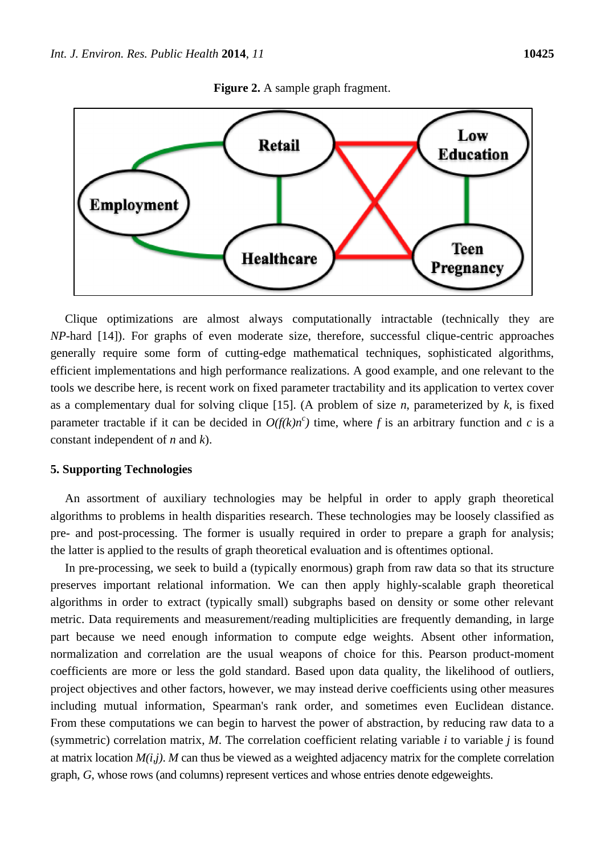



**Figure 2.** A sample graph fragment.

Clique optimizations are almost always computationally intractable (technically they are *NP*-hard [\[14\]](#page-20-1)). For graphs of even moderate size, therefore, successful clique-centric approaches generally require some form of cutting-edge mathematical techniques, sophisticated algorithms, efficient implementations and high performance realizations. A good example, and one relevant to the tools we describe here, is recent work on fixed parameter tractability and its application to vertex cover as a complementary dual for solving clique [\[15\]](#page-20-2). (A problem of size *n*, parameterized by *k*, is fixed parameter tractable if it can be decided in  $O(f(k)n^c)$  time, where f is an arbitrary function and c is a constant independent of *n* and *k*).

#### **5. Supporting Technologies**

An assortment of auxiliary technologies may be helpful in order to apply graph theoretical algorithms to problems in health disparities research. These technologies may be loosely classified as pre- and post-processing. The former is usually required in order to prepare a graph for analysis; the latter is applied to the results of graph theoretical evaluation and is oftentimes optional.

In pre-processing, we seek to build a (typically enormous) graph from raw data so that its structure preserves important relational information. We can then apply highly-scalable graph theoretical algorithms in order to extract (typically small) subgraphs based on density or some other relevant metric. Data requirements and measurement/reading multiplicities are frequently demanding, in large part because we need enough information to compute edge weights. Absent other information, normalization and correlation are the usual weapons of choice for this. Pearson product-moment coefficients are more or less the gold standard. Based upon data quality, the likelihood of outliers, project objectives and other factors, however, we may instead derive coefficients using other measures including mutual information, Spearman's rank order, and sometimes even Euclidean distance. From these computations we can begin to harvest the power of abstraction, by reducing raw data to a (symmetric) correlation matrix, *M*. The correlation coefficient relating variable *i* to variable *j* is found at matrix location  $M(i,j)$ . *M* can thus be viewed as a weighted adjacency matrix for the complete correlation graph, *G*, whose rows (and columns) represent vertices and whose entries denote edgeweights.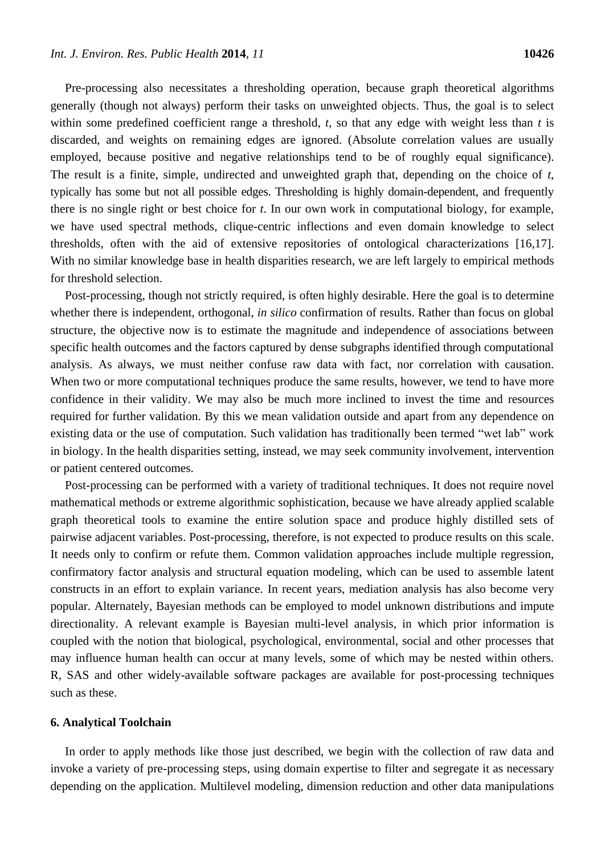Pre-processing also necessitates a thresholding operation, because graph theoretical algorithms generally (though not always) perform their tasks on unweighted objects. Thus, the goal is to select within some predefined coefficient range a threshold, *t*, so that any edge with weight less than *t* is discarded, and weights on remaining edges are ignored. (Absolute correlation values are usually employed, because positive and negative relationships tend to be of roughly equal significance). The result is a finite, simple, undirected and unweighted graph that, depending on the choice of *t*, typically has some but not all possible edges. Thresholding is highly domain-dependent, and frequently there is no single right or best choice for *t*. In our own work in computational biology, for example, we have used spectral methods, clique-centric inflections and even domain knowledge to select thresholds, often with the aid of extensive repositories of ontological characterizations [\[16](#page-20-3)[,17\]](#page-20-4). With no similar knowledge base in health disparities research, we are left largely to empirical methods for threshold selection.

Post-processing, though not strictly required, is often highly desirable. Here the goal is to determine whether there is independent, orthogonal, *in silico* confirmation of results. Rather than focus on global structure, the objective now is to estimate the magnitude and independence of associations between specific health outcomes and the factors captured by dense subgraphs identified through computational analysis. As always, we must neither confuse raw data with fact, nor correlation with causation. When two or more computational techniques produce the same results, however, we tend to have more confidence in their validity. We may also be much more inclined to invest the time and resources required for further validation. By this we mean validation outside and apart from any dependence on existing data or the use of computation. Such validation has traditionally been termed "wet lab" work in biology. In the health disparities setting, instead, we may seek community involvement, intervention or patient centered outcomes.

Post-processing can be performed with a variety of traditional techniques. It does not require novel mathematical methods or extreme algorithmic sophistication, because we have already applied scalable graph theoretical tools to examine the entire solution space and produce highly distilled sets of pairwise adjacent variables. Post-processing, therefore, is not expected to produce results on this scale. It needs only to confirm or refute them. Common validation approaches include multiple regression, confirmatory factor analysis and structural equation modeling, which can be used to assemble latent constructs in an effort to explain variance. In recent years, mediation analysis has also become very popular. Alternately, Bayesian methods can be employed to model unknown distributions and impute directionality. A relevant example is Bayesian multi-level analysis, in which prior information is coupled with the notion that biological, psychological, environmental, social and other processes that may influence human health can occur at many levels, some of which may be nested within others. R, SAS and other widely-available software packages are available for post-processing techniques such as these.

#### **6. Analytical Toolchain**

In order to apply methods like those just described, we begin with the collection of raw data and invoke a variety of pre-processing steps, using domain expertise to filter and segregate it as necessary depending on the application. Multilevel modeling, dimension reduction and other data manipulations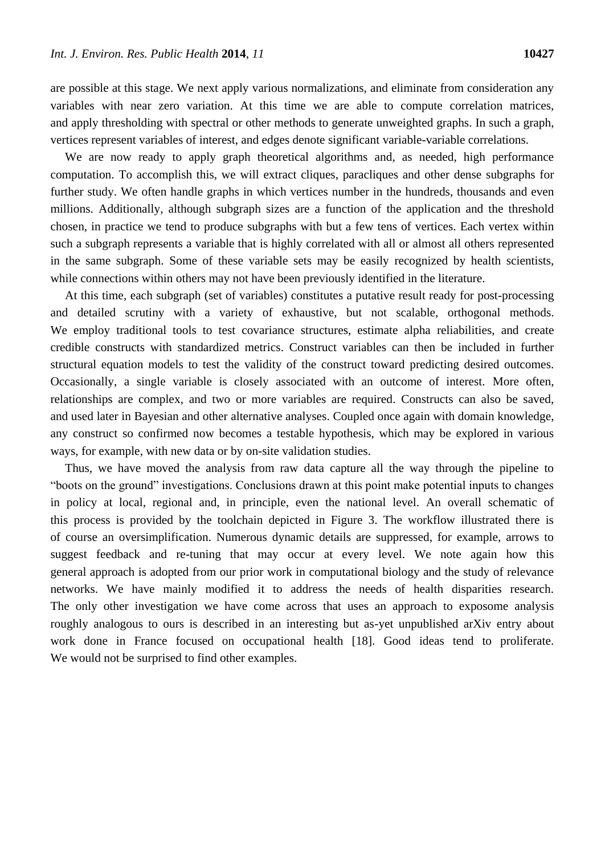are possible at this stage. We next apply various normalizations, and eliminate from consideration any variables with near zero variation. At this time we are able to compute correlation matrices, and apply thresholding with spectral or other methods to generate unweighted graphs. In such a graph, vertices represent variables of interest, and edges denote significant variable-variable correlations.

We are now ready to apply graph theoretical algorithms and, as needed, high performance computation. To accomplish this, we will extract cliques, paracliques and other dense subgraphs for further study. We often handle graphs in which vertices number in the hundreds, thousands and even millions. Additionally, although subgraph sizes are a function of the application and the threshold chosen, in practice we tend to produce subgraphs with but a few tens of vertices. Each vertex within such a subgraph represents a variable that is highly correlated with all or almost all others represented in the same subgraph. Some of these variable sets may be easily recognized by health scientists, while connections within others may not have been previously identified in the literature.

At this time, each subgraph (set of variables) constitutes a putative result ready for post-processing and detailed scrutiny with a variety of exhaustive, but not scalable, orthogonal methods. We employ traditional tools to test covariance structures, estimate alpha reliabilities, and create credible constructs with standardized metrics. Construct variables can then be included in further structural equation models to test the validity of the construct toward predicting desired outcomes. Occasionally, a single variable is closely associated with an outcome of interest. More often, relationships are complex, and two or more variables are required. Constructs can also be saved, and used later in Bayesian and other alternative analyses. Coupled once again with domain knowledge, any construct so confirmed now becomes a testable hypothesis, which may be explored in various ways, for example, with new data or by on-site validation studies.

Thus, we have moved the analysis from raw data capture all the way through the pipeline to "boots on the ground" investigations. Conclusions drawn at this point make potential inputs to changes in policy at local, regional and, in principle, even the national level. An overall schematic of this process is provided by the toolchain depicted in Figure 3. The workflow illustrated there is of course an oversimplification. Numerous dynamic details are suppressed, for example, arrows to suggest feedback and re-tuning that may occur at every level. We note again how this general approach is adopted from our prior work in computational biology and the study of relevance networks. We have mainly modified it to address the needs of health disparities research. The only other investigation we have come across that uses an approach to exposome analysis roughly analogous to ours is described in an interesting but as-yet unpublished arXiv entry about work done in France focused on occupational health [\[18\]](#page-20-5). Good ideas tend to proliferate. We would not be surprised to find other examples.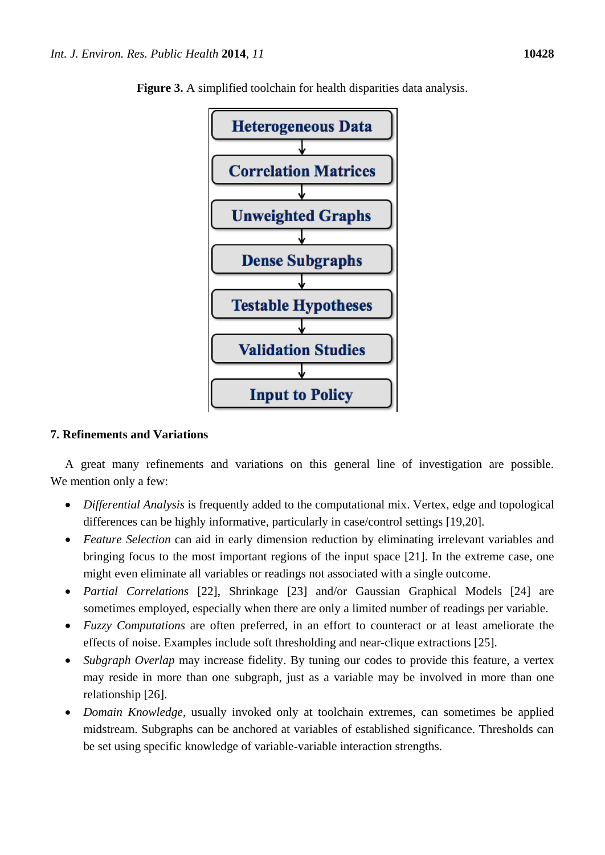

**Figure 3.** A simplified toolchain for health disparities data analysis.

## **7. Refinements and Variations**

A great many refinements and variations on this general line of investigation are possible. We mention only a few:

- *Differential Analysis* is frequently added to the computational mix. Vertex, edge and topological differences can be highly informative, particularly in case/control settings [\[19,](#page-20-6)[20\]](#page-20-7).
- *Feature Selection* can aid in early dimension reduction by eliminating irrelevant variables and bringing focus to the most important regions of the input space [\[21\]](#page-20-8). In the extreme case, one might even eliminate all variables or readings not associated with a single outcome.
- *Partial Correlations* [\[22\]](#page-20-9), Shrinkage [\[23\]](#page-20-10) and/or Gaussian Graphical Models [\[24\]](#page-20-11) are sometimes employed, especially when there are only a limited number of readings per variable.
- *Fuzzy Computations* are often preferred, in an effort to counteract or at least ameliorate the effects of noise. Examples include soft thresholding and near-clique extractions [\[25\]](#page-20-12).
- *Subgraph Overlap* may increase fidelity. By tuning our codes to provide this feature, a vertex may reside in more than one subgraph, just as a variable may be involved in more than one relationship [\[26\]](#page-20-13).
- *Domain Knowledge*, usually invoked only at toolchain extremes, can sometimes be applied midstream. Subgraphs can be anchored at variables of established significance. Thresholds can be set using specific knowledge of variable-variable interaction strengths.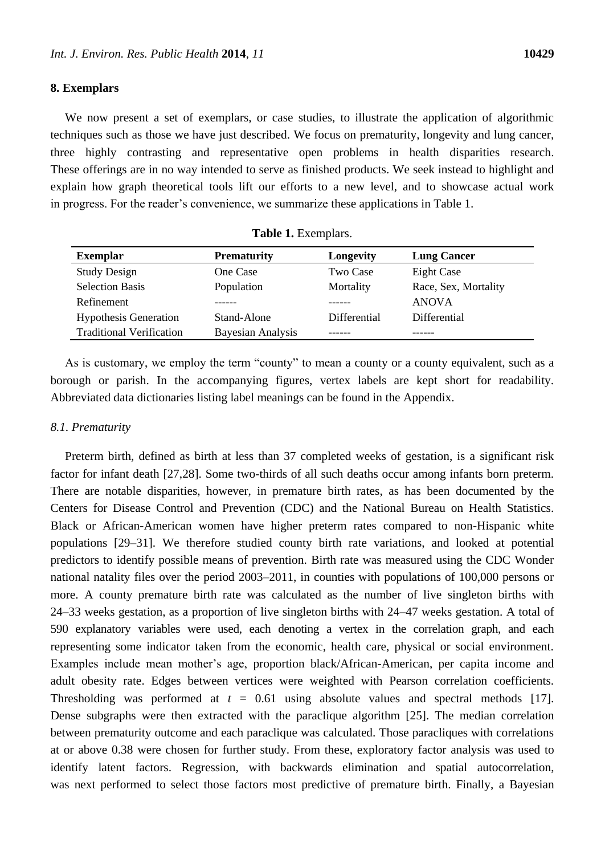## **8. Exemplars**

We now present a set of exemplars, or case studies, to illustrate the application of algorithmic techniques such as those we have just described. We focus on prematurity, longevity and lung cancer, three highly contrasting and representative open problems in health disparities research. These offerings are in no way intended to serve as finished products. We seek instead to highlight and explain how graph theoretical tools lift our efforts to a new level, and to showcase actual work in progress. For the reader's convenience, we summarize these applications in Table 1.

| <b>Exemplar</b>                 | <b>Prematurity</b>       | Longevity    | <b>Lung Cancer</b>   |
|---------------------------------|--------------------------|--------------|----------------------|
| <b>Study Design</b>             | One Case                 | Two Case     | Eight Case           |
| <b>Selection Basis</b>          | Population               | Mortality    | Race, Sex, Mortality |
| Refinement                      |                          |              | <b>ANOVA</b>         |
| <b>Hypothesis Generation</b>    | Stand-Alone              | Differential | Differential         |
| <b>Traditional Verification</b> | <b>Bayesian Analysis</b> |              |                      |

**Table 1.** Exemplars.

As is customary, we employ the term "county" to mean a county or a county equivalent, such as a borough or parish. In the accompanying figures, vertex labels are kept short for readability. Abbreviated data dictionaries listing label meanings can be found in the Appendix.

#### *8.1. Prematurity*

Preterm birth, defined as birth at less than 37 completed weeks of gestation, is a significant risk factor for infant death [\[27](#page-20-14)[,28\]](#page-20-15). Some two-thirds of all such deaths occur among infants born preterm. There are notable disparities, however, in premature birth rates, as has been documented by the Centers for Disease Control and Prevention (CDC) and the National Bureau on Health Statistics. Black or African-American women have higher preterm rates compared to non-Hispanic white populations [\[29‒](#page-21-0)[31\]](#page-21-1). We therefore studied county birth rate variations, and looked at potential predictors to identify possible means of prevention. Birth rate was measured using the CDC Wonder national natality files over the period 2003–2011, in counties with populations of 100,000 persons or more. A county premature birth rate was calculated as the number of live singleton births with 24–33 weeks gestation, as a proportion of live singleton births with 24–47 weeks gestation. A total of 590 explanatory variables were used, each denoting a vertex in the correlation graph, and each representing some indicator taken from the economic, health care, physical or social environment. Examples include mean mother's age, proportion black/African-American, per capita income and adult obesity rate. Edges between vertices were weighted with Pearson correlation coefficients. Thresholding was performed at  $t = 0.61$  using absolute values and spectral methods [\[17\]](#page-20-4). Dense subgraphs were then extracted with the paraclique algorithm [\[25\]](#page-20-12). The median correlation between prematurity outcome and each paraclique was calculated. Those paracliques with correlations at or above 0.38 were chosen for further study. From these, exploratory factor analysis was used to identify latent factors. Regression, with backwards elimination and spatial autocorrelation, was next performed to select those factors most predictive of premature birth. Finally, a Bayesian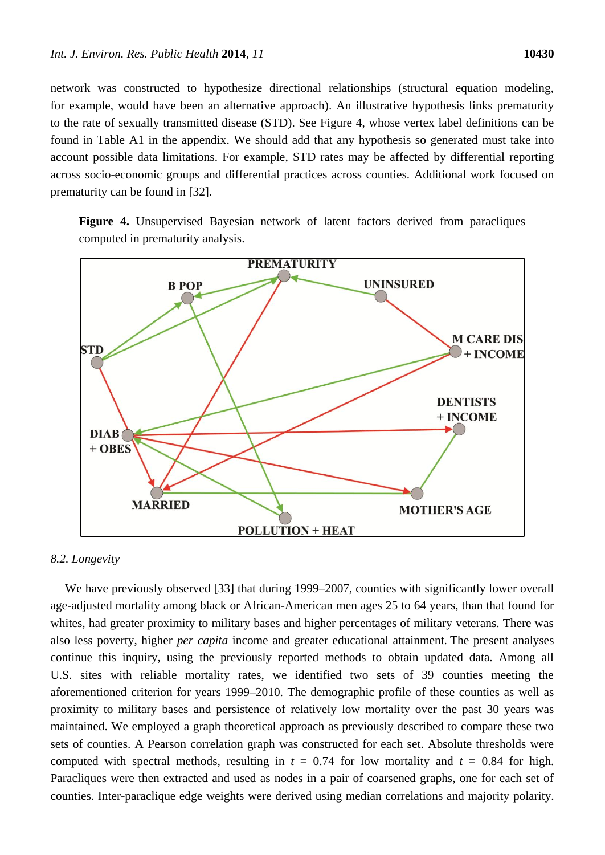network was constructed to hypothesize directional relationships (structural equation modeling, for example, would have been an alternative approach). An illustrative hypothesis links prematurity to the rate of sexually transmitted disease (STD). See Figure 4, whose vertex label definitions can be found in Table A1 in the appendix. We should add that any hypothesis so generated must take into account possible data limitations. For example, STD rates may be affected by differential reporting across socio-economic groups and differential practices across counties. Additional work focused on prematurity can be found in [\[32\]](#page-21-2).

**Figure 4.** Unsupervised Bayesian network of latent factors derived from paracliques computed in prematurity analysis.



#### *8.2. Longevity*

We have previously observed [\[33\]](#page-21-3) that during 1999–2007, counties with significantly lower overall age-adjusted mortality among black or African-American men ages 25 to 64 years, than that found for whites, had greater proximity to military bases and higher percentages of military veterans. There was also less poverty, higher *per capita* income and greater educational attainment. The present analyses continue this inquiry, using the previously reported methods to obtain updated data. Among all U.S. sites with reliable mortality rates, we identified two sets of 39 counties meeting the aforementioned criterion for years 1999–2010. The demographic profile of these counties as well as proximity to military bases and persistence of relatively low mortality over the past 30 years was maintained. We employed a graph theoretical approach as previously described to compare these two sets of counties. A Pearson correlation graph was constructed for each set. Absolute thresholds were computed with spectral methods, resulting in  $t = 0.74$  for low mortality and  $t = 0.84$  for high. Paracliques were then extracted and used as nodes in a pair of coarsened graphs, one for each set of counties. Inter-paraclique edge weights were derived using median correlations and majority polarity.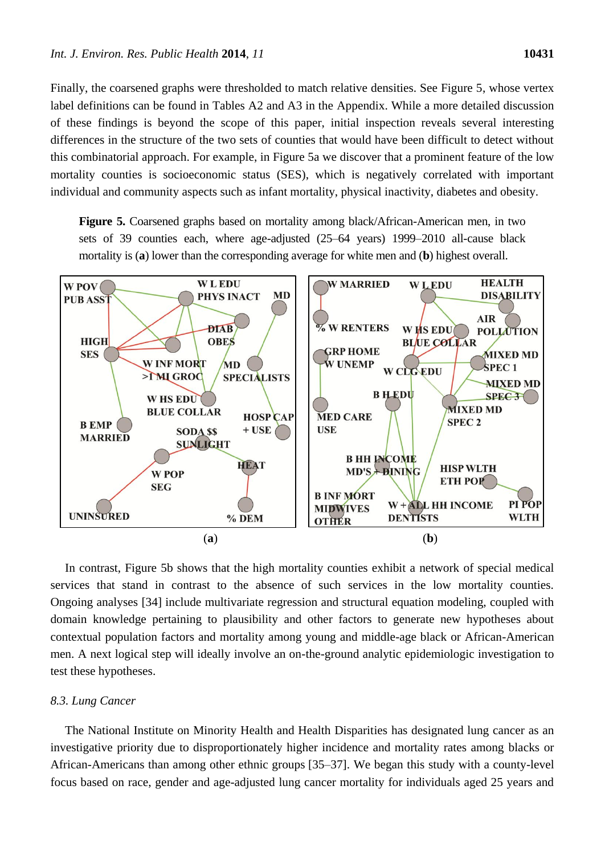Finally, the coarsened graphs were thresholded to match relative densities. See Figure 5, whose vertex label definitions can be found in Tables A2 and A3 in the Appendix. While a more detailed discussion of these findings is beyond the scope of this paper, initial inspection reveals several interesting differences in the structure of the two sets of counties that would have been difficult to detect without this combinatorial approach. For example, in Figure 5a we discover that a prominent feature of the low mortality counties is socioeconomic status (SES), which is negatively correlated with important individual and community aspects such as infant mortality, physical inactivity, diabetes and obesity.

**Figure 5.** Coarsened graphs based on mortality among black/African-American men, in two sets of 39 counties each, where age-adjusted (25–64 years) 1999–2010 all-cause black mortality is (**a**) lower than the corresponding average for white men and (**b**) highest overall.



In contrast, Figure 5b shows that the high mortality counties exhibit a network of special medical services that stand in contrast to the absence of such services in the low mortality counties. Ongoing analyses [\[34\]](#page-21-4) include multivariate regression and structural equation modeling, coupled with domain knowledge pertaining to plausibility and other factors to generate new hypotheses about contextual population factors and mortality among young and middle-age black or African-American men. A next logical step will ideally involve an on-the-ground analytic epidemiologic investigation to test these hypotheses.

#### *8.3. Lung Cancer*

The National Institute on Minority Health and Health Disparities has designated lung cancer as an investigative priority due to disproportionately higher incidence and mortality rates among blacks or African-Americans than among other ethnic groups [\[35](#page-21-5)–37]. We began this study with a county-level focus based on race, gender and age-adjusted lung cancer mortality for individuals aged 25 years and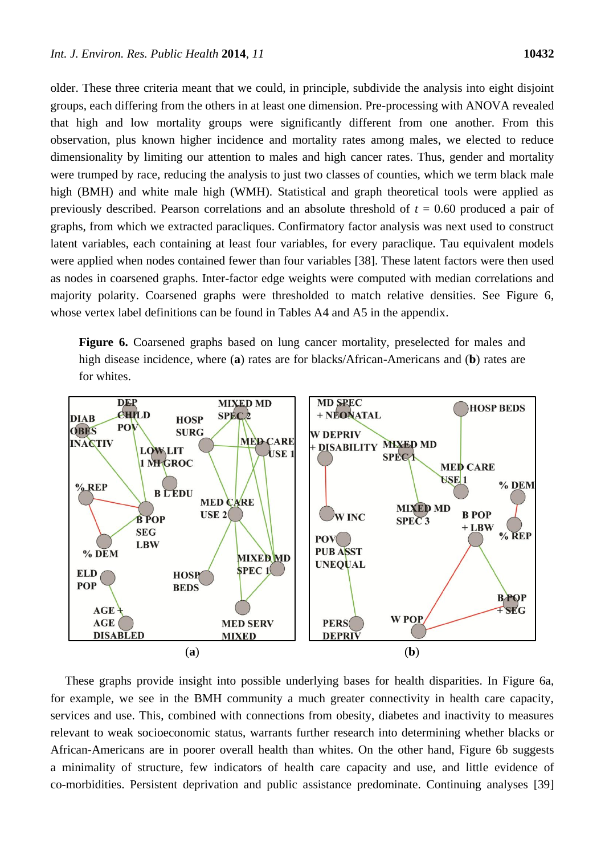older. These three criteria meant that we could, in principle, subdivide the analysis into eight disjoint groups, each differing from the others in at least one dimension. Pre-processing with ANOVA revealed that high and low mortality groups were significantly different from one another. From this observation, plus known higher incidence and mortality rates among males, we elected to reduce dimensionality by limiting our attention to males and high cancer rates. Thus, gender and mortality were trumped by race, reducing the analysis to just two classes of counties, which we term black male high (BMH) and white male high (WMH). Statistical and graph theoretical tools were applied as previously described. Pearson correlations and an absolute threshold of *t* = 0.60 produced a pair of graphs, from which we extracted paracliques. Confirmatory factor analysis was next used to construct latent variables, each containing at least four variables, for every paraclique. Tau equivalent models were applied when nodes contained fewer than four variables [\[38\]](#page-21-7). These latent factors were then used as nodes in coarsened graphs. Inter-factor edge weights were computed with median correlations and majority polarity. Coarsened graphs were thresholded to match relative densities. See Figure 6, whose vertex label definitions can be found in Tables A4 and A5 in the appendix.

**Figure 6.** Coarsened graphs based on lung cancer mortality, preselected for males and high disease incidence, where (**a**) rates are for blacks/African-Americans and (**b**) rates are for whites.



These graphs provide insight into possible underlying bases for health disparities. In Figure 6a, for example, we see in the BMH community a much greater connectivity in health care capacity, services and use. This, combined with connections from obesity, diabetes and inactivity to measures relevant to weak socioeconomic status, warrants further research into determining whether blacks or African-Americans are in poorer overall health than whites. On the other hand, Figure 6b suggests a minimality of structure, few indicators of health care capacity and use, and little evidence of co-morbidities. Persistent deprivation and public assistance predominate. Continuing analyses [\[39\]](#page-21-8)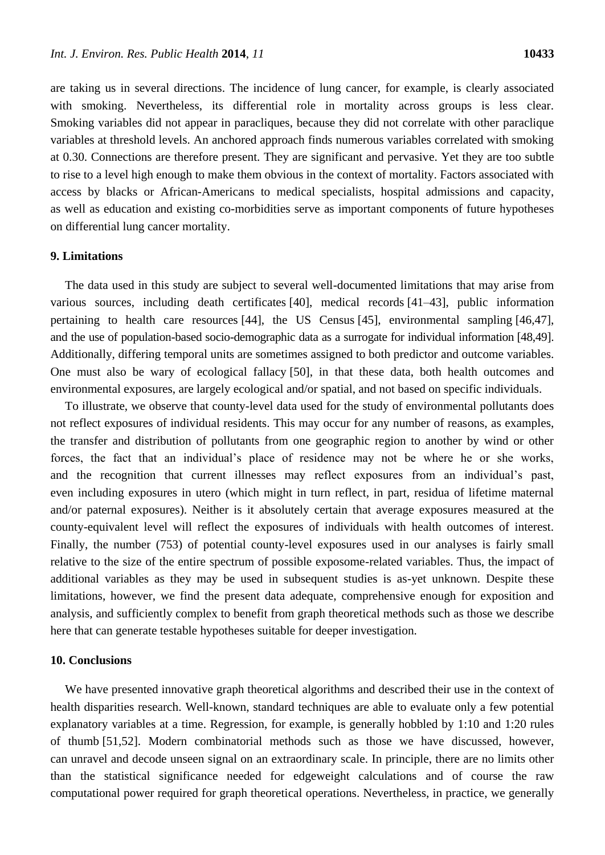are taking us in several directions. The incidence of lung cancer, for example, is clearly associated with smoking. Nevertheless, its differential role in mortality across groups is less clear. Smoking variables did not appear in paracliques, because they did not correlate with other paraclique variables at threshold levels. An anchored approach finds numerous variables correlated with smoking at 0.30. Connections are therefore present. They are significant and pervasive. Yet they are too subtle to rise to a level high enough to make them obvious in the context of mortality. Factors associated with access by blacks or African-Americans to medical specialists, hospital admissions and capacity, as well as education and existing co-morbidities serve as important components of future hypotheses on differential lung cancer mortality.

## **9. Limitations**

The data used in this study are subject to several well-documented limitations that may arise from various sources, including death certificates [\[40\]](#page-21-9), medical records [\[41](#page-21-10)–43], public information pertaining to health care resources [\[44\]](#page-21-12), the US Census [\[45\]](#page-22-0), environmental sampling [\[46](#page-22-1)[,47\]](#page-22-2), and the use of population-based socio-demographic data as a surrogate for individual information [\[48](#page-22-3)[,49\]](#page-22-4). Additionally, differing temporal units are sometimes assigned to both predictor and outcome variables. One must also be wary of ecological fallacy [\[50\]](#page-22-5), in that these data, both health outcomes and environmental exposures, are largely ecological and/or spatial, and not based on specific individuals.

To illustrate, we observe that county-level data used for the study of environmental pollutants does not reflect exposures of individual residents. This may occur for any number of reasons, as examples, the transfer and distribution of pollutants from one geographic region to another by wind or other forces, the fact that an individual's place of residence may not be where he or she works, and the recognition that current illnesses may reflect exposures from an individual's past, even including exposures in utero (which might in turn reflect, in part, residua of lifetime maternal and/or paternal exposures). Neither is it absolutely certain that average exposures measured at the county-equivalent level will reflect the exposures of individuals with health outcomes of interest. Finally, the number (753) of potential county-level exposures used in our analyses is fairly small relative to the size of the entire spectrum of possible exposome-related variables. Thus, the impact of additional variables as they may be used in subsequent studies is as-yet unknown. Despite these limitations, however, we find the present data adequate, comprehensive enough for exposition and analysis, and sufficiently complex to benefit from graph theoretical methods such as those we describe here that can generate testable hypotheses suitable for deeper investigation.

#### **10. Conclusions**

We have presented innovative graph theoretical algorithms and described their use in the context of health disparities research. Well-known, standard techniques are able to evaluate only a few potential explanatory variables at a time. Regression, for example, is generally hobbled by 1:10 and 1:20 rules of thumb [\[51,](#page-22-6)[52\]](#page-22-7). Modern combinatorial methods such as those we have discussed, however, can unravel and decode unseen signal on an extraordinary scale. In principle, there are no limits other than the statistical significance needed for edgeweight calculations and of course the raw computational power required for graph theoretical operations. Nevertheless, in practice, we generally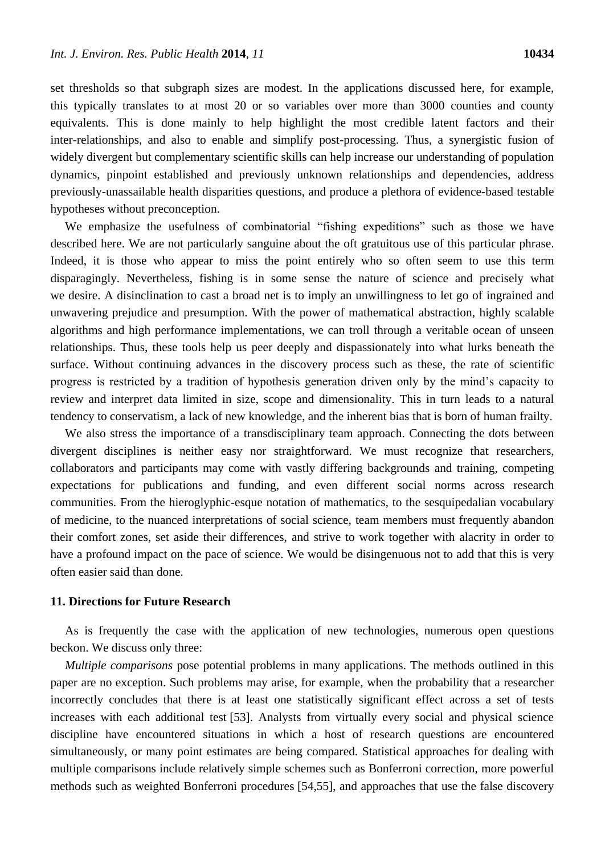set thresholds so that subgraph sizes are modest. In the applications discussed here, for example, this typically translates to at most 20 or so variables over more than 3000 counties and county equivalents. This is done mainly to help highlight the most credible latent factors and their inter-relationships, and also to enable and simplify post-processing. Thus, a synergistic fusion of widely divergent but complementary scientific skills can help increase our understanding of population dynamics, pinpoint established and previously unknown relationships and dependencies, address previously-unassailable health disparities questions, and produce a plethora of evidence-based testable hypotheses without preconception.

We emphasize the usefulness of combinatorial "fishing expeditions" such as those we have described here. We are not particularly sanguine about the oft gratuitous use of this particular phrase. Indeed, it is those who appear to miss the point entirely who so often seem to use this term disparagingly. Nevertheless, fishing is in some sense the nature of science and precisely what we desire. A disinclination to cast a broad net is to imply an unwillingness to let go of ingrained and unwavering prejudice and presumption. With the power of mathematical abstraction, highly scalable algorithms and high performance implementations, we can troll through a veritable ocean of unseen relationships. Thus, these tools help us peer deeply and dispassionately into what lurks beneath the surface. Without continuing advances in the discovery process such as these, the rate of scientific progress is restricted by a tradition of hypothesis generation driven only by the mind's capacity to review and interpret data limited in size, scope and dimensionality. This in turn leads to a natural tendency to conservatism, a lack of new knowledge, and the inherent bias that is born of human frailty.

We also stress the importance of a transdisciplinary team approach. Connecting the dots between divergent disciplines is neither easy nor straightforward. We must recognize that researchers, collaborators and participants may come with vastly differing backgrounds and training, competing expectations for publications and funding, and even different social norms across research communities. From the hieroglyphic-esque notation of mathematics, to the sesquipedalian vocabulary of medicine, to the nuanced interpretations of social science, team members must frequently abandon their comfort zones, set aside their differences, and strive to work together with alacrity in order to have a profound impact on the pace of science. We would be disingenuous not to add that this is very often easier said than done.

## **11. Directions for Future Research**

As is frequently the case with the application of new technologies, numerous open questions beckon. We discuss only three:

*Multiple comparisons* pose potential problems in many applications. The methods outlined in this paper are no exception. Such problems may arise, for example, when the probability that a researcher incorrectly concludes that there is at least one statistically significant effect across a set of tests increases with each additional test [\[53\]](#page-22-8). Analysts from virtually every social and physical science discipline have encountered situations in which a host of research questions are encountered simultaneously, or many point estimates are being compared. Statistical approaches for dealing with multiple comparisons include relatively simple schemes such as Bonferroni correction, more powerful methods such as weighted Bonferroni procedures [\[54,](#page-22-9)[55\]](#page-22-10), and approaches that use the false discovery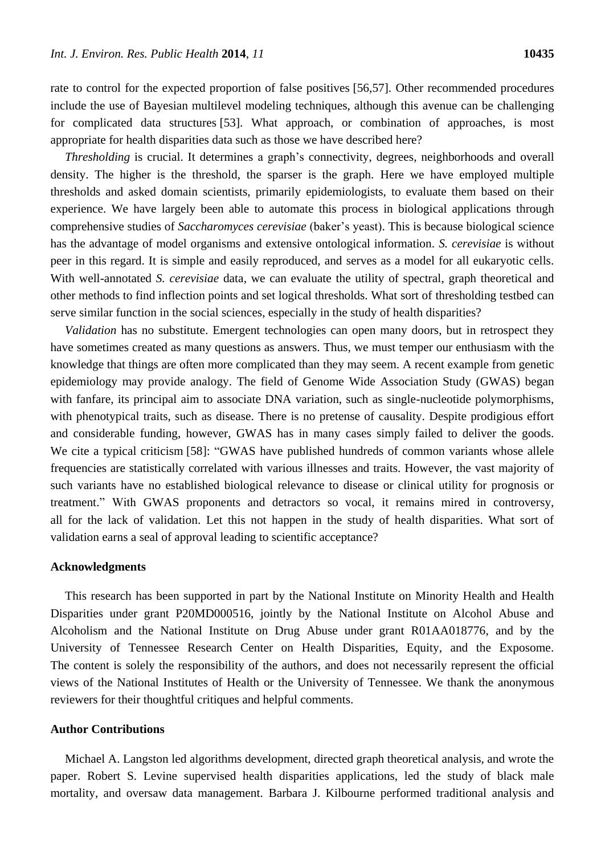rate to control for the expected proportion of false positives [\[56](#page-22-11)[,57\]](#page-22-12). Other recommended procedures include the use of Bayesian multilevel modeling techniques, although this avenue can be challenging for complicated data structures [\[53\]](#page-22-8). What approach, or combination of approaches, is most appropriate for health disparities data such as those we have described here?

*Thresholding* is crucial. It determines a graph's connectivity, degrees, neighborhoods and overall density. The higher is the threshold, the sparser is the graph. Here we have employed multiple thresholds and asked domain scientists, primarily epidemiologists, to evaluate them based on their experience. We have largely been able to automate this process in biological applications through comprehensive studies of *Saccharomyces cerevisiae* (baker's yeast). This is because biological science has the advantage of model organisms and extensive ontological information. *S. cerevisiae* is without peer in this regard. It is simple and easily reproduced, and serves as a model for all eukaryotic cells. With well-annotated *S. cerevisiae* data*,* we can evaluate the utility of spectral, graph theoretical and other methods to find inflection points and set logical thresholds. What sort of thresholding testbed can serve similar function in the social sciences, especially in the study of health disparities?

*Validation* has no substitute. Emergent technologies can open many doors, but in retrospect they have sometimes created as many questions as answers. Thus, we must temper our enthusiasm with the knowledge that things are often more complicated than they may seem. A recent example from genetic epidemiology may provide analogy. The field of Genome Wide Association Study (GWAS) began with fanfare, its principal aim to associate DNA variation, such as single-nucleotide polymorphisms, with phenotypical traits, such as disease. There is no pretense of causality. Despite prodigious effort and considerable funding, however, GWAS has in many cases simply failed to deliver the goods. We cite a typical criticism [\[58\]](#page-22-13): "GWAS have published hundreds of common variants whose allele frequencies are statistically correlated with various illnesses and traits. However, the vast majority of such variants have no established biological relevance to disease or clinical utility for prognosis or treatment." With GWAS proponents and detractors so vocal, it remains mired in controversy, all for the lack of validation. Let this not happen in the study of health disparities. What sort of validation earns a seal of approval leading to scientific acceptance?

#### **Acknowledgments**

This research has been supported in part by the National Institute on Minority Health and Health Disparities under grant P20MD000516, jointly by the National Institute on Alcohol Abuse and Alcoholism and the National Institute on Drug Abuse under grant R01AA018776, and by the University of Tennessee Research Center on Health Disparities, Equity, and the Exposome. The content is solely the responsibility of the authors, and does not necessarily represent the official views of the National Institutes of Health or the University of Tennessee. We thank the anonymous reviewers for their thoughtful critiques and helpful comments.

#### **Author Contributions**

Michael A. Langston led algorithms development, directed graph theoretical analysis, and wrote the paper. Robert S. Levine supervised health disparities applications, led the study of black male mortality, and oversaw data management. Barbara J. Kilbourne performed traditional analysis and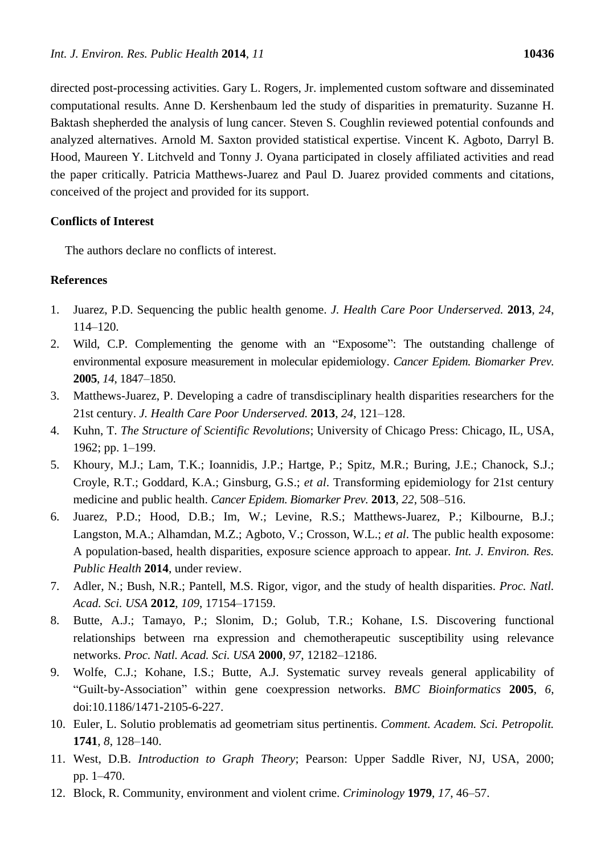directed post-processing activities. Gary L. Rogers, Jr. implemented custom software and disseminated computational results. Anne D. Kershenbaum led the study of disparities in prematurity. Suzanne H. Baktash shepherded the analysis of lung cancer. Steven S. Coughlin reviewed potential confounds and analyzed alternatives. Arnold M. Saxton provided statistical expertise. Vincent K. Agboto, Darryl B. Hood, Maureen Y. Litchveld and Tonny J. Oyana participated in closely affiliated activities and read the paper critically. Patricia Matthews-Juarez and Paul D. Juarez provided comments and citations, conceived of the project and provided for its support.

## **Conflicts of Interest**

The authors declare no conflicts of interest.

## **References**

- <span id="page-19-0"></span>1. Juarez, P.D. Sequencing the public health genome. *J. Health Care Poor Underserved.* **2013**, *24*, 114–120.
- <span id="page-19-1"></span>2. Wild, C.P. Complementing the genome with an "Exposome": The outstanding challenge of environmental exposure measurement in molecular epidemiology. *Cancer Epidem. Biomarker Prev.* **2005**, *14*, 1847–1850.
- <span id="page-19-2"></span>3. Matthews-Juarez, P. Developing a cadre of transdisciplinary health disparities researchers for the 21st century. *J. Health Care Poor Underserved.* **2013**, *24*, 121–128.
- <span id="page-19-3"></span>4. Kuhn, T. *The Structure of Scientific Revolutions*; University of Chicago Press: Chicago, IL, USA, 1962; pp. 1–199.
- <span id="page-19-4"></span>5. Khoury, M.J.; Lam, T.K.; Ioannidis, J.P.; Hartge, P.; Spitz, M.R.; Buring, J.E.; Chanock, S.J.; Croyle, R.T.; Goddard, K.A.; Ginsburg, G.S.; *et al*. Transforming epidemiology for 21st century medicine and public health. *Cancer Epidem. Biomarker Prev.* **2013**, *22*, 508–516.
- <span id="page-19-5"></span>6. Juarez, P.D.; Hood, D.B.; Im, W.; Levine, R.S.; Matthews-Juarez, P.; Kilbourne, B.J.; Langston, M.A.; Alhamdan, M.Z.; Agboto, V.; Crosson, W.L.; *et al*. The public health exposome: A population-based, health disparities, exposure science approach to appear*. Int. J. Environ. Res. Public Health* **2014**, under review.
- <span id="page-19-6"></span>7. Adler, N.; Bush, N.R.; Pantell, M.S. Rigor, vigor, and the study of health disparities. *Proc. Natl. Acad. Sci. USA* **2012**, *109*, 17154–17159.
- <span id="page-19-7"></span>8. Butte, A.J.; Tamayo, P.; Slonim, D.; Golub, T.R.; Kohane, I.S. Discovering functional relationships between rna expression and chemotherapeutic susceptibility using relevance networks. *Proc. Natl. Acad. Sci. USA* **2000**, *97*, 12182–12186.
- <span id="page-19-8"></span>9. Wolfe, C.J.; Kohane, I.S.; Butte, A.J. Systematic survey reveals general applicability of "Guilt-by-Association" within gene coexpression networks. *BMC Bioinformatics* **2005**, *6*, doi:10.1186/1471-2105-6-227.
- <span id="page-19-9"></span>10. Euler, L. Solutio problematis ad geometriam situs pertinentis. *Comment. Academ. Sci. Petropolit.* **1741**, *8*, 128–140.
- <span id="page-19-10"></span>11. West, D.B. *Introduction to Graph Theory*; Pearson: Upper Saddle River, NJ, USA, 2000; pp. 1–470.
- <span id="page-19-11"></span>12. Block, R. Community, environment and violent crime. *Criminology* **1979**, *17*, 46–57.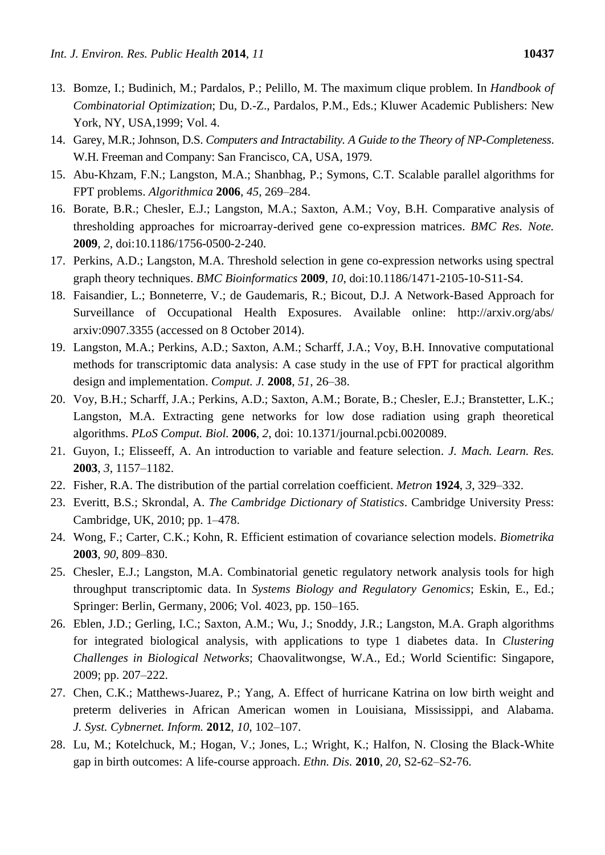- <span id="page-20-0"></span>13. Bomze, I.; Budinich, M.; Pardalos, P.; Pelillo, M. The maximum clique problem. In *Handbook of Combinatorial Optimization*; Du, D.-Z., Pardalos, P.M., Eds.; Kluwer Academic Publishers: New York, NY, USA,1999; Vol. 4.
- <span id="page-20-1"></span>14. Garey, M.R.; Johnson, D.S. *Computers and Intractability. A Guide to the Theory of NP-Completeness*. W.H. Freeman and Company: San Francisco, CA, USA, 1979.
- <span id="page-20-2"></span>15. Abu-Khzam, F.N.; Langston, M.A.; Shanbhag, P.; Symons, C.T. Scalable parallel algorithms for FPT problems. *Algorithmica* **2006**, *45*, 269–284.
- <span id="page-20-3"></span>16. Borate, B.R.; Chesler, E.J.; Langston, M.A.; Saxton, A.M.; Voy, B.H. Comparative analysis of thresholding approaches for microarray-derived gene co-expression matrices. *BMC Res. Note.* **2009**, *2*, doi:10.1186/1756-0500-2-240.
- <span id="page-20-4"></span>17. Perkins, A.D.; Langston, M.A. Threshold selection in gene co-expression networks using spectral graph theory techniques. *BMC Bioinformatics* **2009**, *10*, doi:10.1186/1471-2105-10-S11-S4.
- <span id="page-20-5"></span>18. Faisandier, L.; Bonneterre, V.; de Gaudemaris, R.; Bicout, D.J. A Network-Based Approach for Surveillance of Occupational Health Exposures. Available online: http://arxiv.org/abs/ arxiv:0907.3355 (accessed on 8 October 2014).
- <span id="page-20-6"></span>19. Langston, M.A.; Perkins, A.D.; Saxton, A.M.; Scharff, J.A.; Voy, B.H. Innovative computational methods for transcriptomic data analysis: A case study in the use of FPT for practical algorithm design and implementation. *Comput. J.* **2008**, *51*, 26–38.
- <span id="page-20-7"></span>20. Voy, B.H.; Scharff, J.A.; Perkins, A.D.; Saxton, A.M.; Borate, B.; Chesler, E.J.; Branstetter, L.K.; Langston, M.A. Extracting gene networks for low dose radiation using graph theoretical algorithms. *PLoS Comput. Biol.* **2006**, *2*, doi: 10.1371/journal.pcbi.0020089.
- <span id="page-20-8"></span>21. Guyon, I.; Elisseeff, A. An introduction to variable and feature selection. *J. Mach. Learn. Res.* **2003**, *3*, 1157–1182.
- <span id="page-20-9"></span>22. Fisher, R.A. The distribution of the partial correlation coefficient. *Metron* **1924**, *3*, 329–332.
- <span id="page-20-10"></span>23. Everitt, B.S.; Skrondal, A. *The Cambridge Dictionary of Statistics*. Cambridge University Press: Cambridge, UK, 2010; pp. 1–478.
- <span id="page-20-11"></span>24. Wong, F.; Carter, C.K.; Kohn, R. Efficient estimation of covariance selection models. *Biometrika*  **2003**, *90*, 809–830.
- <span id="page-20-12"></span>25. Chesler, E.J.; Langston, M.A. Combinatorial genetic regulatory network analysis tools for high throughput transcriptomic data. In *Systems Biology and Regulatory Genomics*; Eskin, E., Ed.; Springer: Berlin, Germany, 2006; Vol. 4023, pp. 150–165.
- <span id="page-20-13"></span>26. Eblen, J.D.; Gerling, I.C.; Saxton, A.M.; Wu, J.; Snoddy, J.R.; Langston, M.A. Graph algorithms for integrated biological analysis, with applications to type 1 diabetes data. In *Clustering Challenges in Biological Networks*; Chaovalitwongse, W.A., Ed.; World Scientific: Singapore, 2009; pp. 207–222.
- <span id="page-20-14"></span>27. Chen, C.K.; Matthews-Juarez, P.; Yang, A. Effect of hurricane Katrina on low birth weight and preterm deliveries in African American women in Louisiana, Mississippi, and Alabama. *J. Syst. Cybnernet. Inform.* **2012**, *10*, 102–107.
- <span id="page-20-15"></span>28. Lu, M.; Kotelchuck, M.; Hogan, V.; Jones, L.; Wright, K.; Halfon, N. Closing the Black-White gap in birth outcomes: A life-course approach. *Ethn. Dis.* **2010**, *20*, S2-62–S2-76.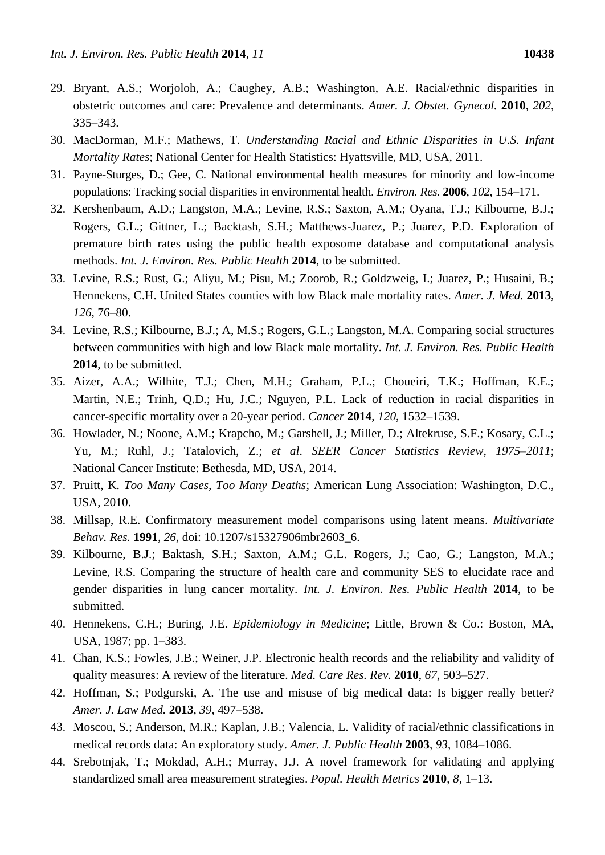- <span id="page-21-0"></span>29. Bryant, A.S.; Worjoloh, A.; Caughey, A.B.; Washington, A.E. Racial/ethnic disparities in obstetric outcomes and care: Prevalence and determinants. *Amer. J. Obstet. Gynecol.* **2010**, *202*, 335–343.
- 30. MacDorman, M.F.; Mathews, T. *Understanding Racial and Ethnic Disparities in U.S. Infant Mortality Rates*; National Center for Health Statistics: Hyattsville, MD, USA, 2011.
- <span id="page-21-1"></span>31. Payne-Sturges, D.; Gee, C. National environmental health measures for minority and low-income populations: Tracking social disparities in environmental health. *Environ. Res.* **2006**, *102*, 154–171.
- <span id="page-21-2"></span>32. Kershenbaum, A.D.; Langston, M.A.; Levine, R.S.; Saxton, A.M.; Oyana, T.J.; Kilbourne, B.J.; Rogers, G.L.; Gittner, L.; Backtash, S.H.; Matthews-Juarez, P.; Juarez, P.D. Exploration of premature birth rates using the public health exposome database and computational analysis methods. *Int. J. Environ. Res. Public Health* **2014**, to be submitted.
- <span id="page-21-3"></span>33. Levine, R.S.; Rust, G.; Aliyu, M.; Pisu, M.; Zoorob, R.; Goldzweig, I.; Juarez, P.; Husaini, B.; Hennekens, C.H. United States counties with low Black male mortality rates. *Amer. J. Med.* **2013**, *126*, 76–80.
- <span id="page-21-4"></span>34. Levine, R.S.; Kilbourne, B.J.; A, M.S.; Rogers, G.L.; Langston, M.A. Comparing social structures between communities with high and low Black male mortality. *Int. J. Environ. Res. Public Health* **2014**, to be submitted.
- <span id="page-21-5"></span>35. Aizer, A.A.; Wilhite, T.J.; Chen, M.H.; Graham, P.L.; Choueiri, T.K.; Hoffman, K.E.; Martin, N.E.; Trinh, Q.D.; Hu, J.C.; Nguyen, P.L. Lack of reduction in racial disparities in cancer-specific mortality over a 20-year period. *Cancer* **2014**, *120*, 1532–1539.
- 36. Howlader, N.; Noone, A.M.; Krapcho, M.; Garshell, J.; Miller, D.; Altekruse, S.F.; Kosary, C.L.; Yu, M.; Ruhl, J.; Tatalovich, Z.; *et al*. *SEER Cancer Statistics Review, 1975–2011*; National Cancer Institute: Bethesda, MD, USA, 2014.
- <span id="page-21-6"></span>37. Pruitt, K. *Too Many Cases, Too Many Deaths*; American Lung Association: Washington, D.C., USA, 2010.
- <span id="page-21-7"></span>38. Millsap, R.E. Confirmatory measurement model comparisons using latent means. *Multivariate Behav. Res.* **1991**, *26*, doi: 10.1207/s15327906mbr2603\_6.
- <span id="page-21-8"></span>39. Kilbourne, B.J.; Baktash, S.H.; Saxton, A.M.; G.L. Rogers, J.; Cao, G.; Langston, M.A.; Levine, R.S. Comparing the structure of health care and community SES to elucidate race and gender disparities in lung cancer mortality. *Int. J. Environ. Res. Public Health* **2014**, to be submitted.
- <span id="page-21-9"></span>40. Hennekens, C.H.; Buring, J.E. *Epidemiology in Medicine*; Little, Brown & Co.: Boston, MA, USA, 1987; pp. 1–383.
- <span id="page-21-10"></span>41. Chan, K.S.; Fowles, J.B.; Weiner, J.P. Electronic health records and the reliability and validity of quality measures: A review of the literature. *Med. Care Res. Rev.* **2010**, *67*, 503–527.
- 42. Hoffman, S.; Podgurski, A. The use and misuse of big medical data: Is bigger really better? *Amer. J. Law Med.* **2013**, *39*, 497–538.
- <span id="page-21-11"></span>43. Moscou, S.; Anderson, M.R.; Kaplan, J.B.; Valencia, L. Validity of racial/ethnic classifications in medical records data: An exploratory study. *Amer. J. Public Health* **2003**, *93*, 1084–1086.
- <span id="page-21-12"></span>44. Srebotnjak, T.; Mokdad, A.H.; Murray, J.J. A novel framework for validating and applying standardized small area measurement strategies. *Popul. Health Metrics* **2010**, *8*, 1–13.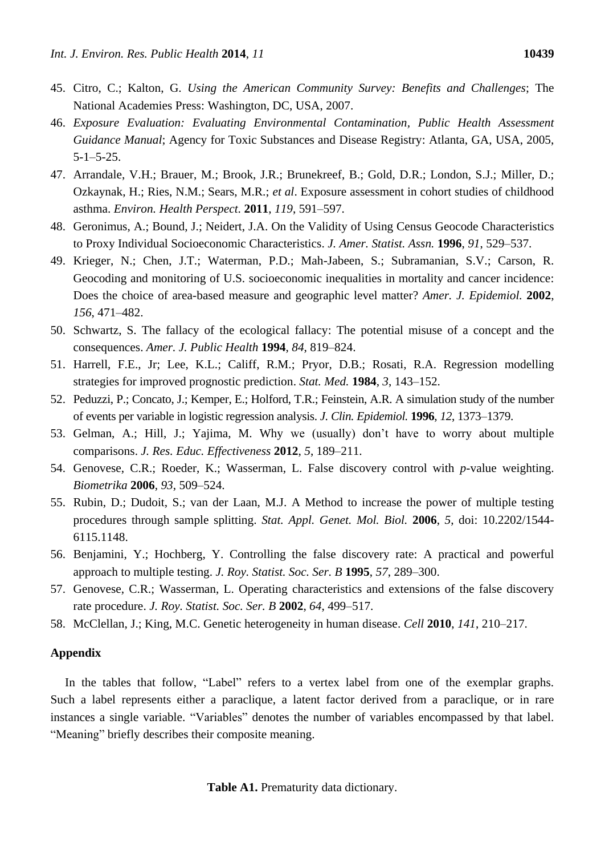- <span id="page-22-0"></span>45. Citro, C.; Kalton, G. *Using the American Community Survey: Benefits and Challenges*; The National Academies Press: Washington, DC, USA, 2007.
- <span id="page-22-1"></span>46. *Exposure Evaluation: Evaluating Environmental Contamination, Public Health Assessment Guidance Manual*; Agency for Toxic Substances and Disease Registry: Atlanta, GA, USA, 2005,  $5 - 1 - 5 - 25$ .
- <span id="page-22-2"></span>47. Arrandale, V.H.; Brauer, M.; Brook, J.R.; Brunekreef, B.; Gold, D.R.; London, S.J.; Miller, D.; Ozkaynak, H.; Ries, N.M.; Sears, M.R.; *et al*. Exposure assessment in cohort studies of childhood asthma. *Environ. Health Perspect.* **2011**, *119*, 591–597.
- <span id="page-22-3"></span>48. Geronimus, A.; Bound, J.; Neidert, J.A. On the Validity of Using Census Geocode Characteristics to Proxy Individual Socioeconomic Characteristics. *J. Amer. Statist. Assn.* **1996**, *91*, 529–537.
- <span id="page-22-4"></span>49. Krieger, N.; Chen, J.T.; Waterman, P.D.; Mah-Jabeen, S.; Subramanian, S.V.; Carson, R. Geocoding and monitoring of U.S. socioeconomic inequalities in mortality and cancer incidence: Does the choice of area-based measure and geographic level matter? *Amer. J. Epidemiol.* **2002**, *156*, 471–482.
- <span id="page-22-5"></span>50. Schwartz, S. The fallacy of the ecological fallacy: The potential misuse of a concept and the consequences. *Amer. J. Public Health* **1994**, *84*, 819–824.
- <span id="page-22-6"></span>51. Harrell, F.E., Jr; Lee, K.L.; Califf, R.M.; Pryor, D.B.; Rosati, R.A. Regression modelling strategies for improved prognostic prediction. *Stat. Med.* **1984**, *3*, 143–152.
- <span id="page-22-7"></span>52. Peduzzi, P.; Concato, J.; Kemper, E.; Holford, T.R.; Feinstein, A.R. A simulation study of the number of events per variable in logistic regression analysis. *J. Clin. Epidemiol.* **1996**, *12*, 1373–1379.
- <span id="page-22-8"></span>53. Gelman, A.; Hill, J.; Yajima, M. Why we (usually) don't have to worry about multiple comparisons. *J. Res. Educ. Effectiveness* **2012**, *5*, 189–211.
- <span id="page-22-9"></span>54. Genovese, C.R.; Roeder, K.; Wasserman, L. False discovery control with *p*-value weighting. *Biometrika* **2006**, *93*, 509–524.
- <span id="page-22-10"></span>55. Rubin, D.; Dudoit, S.; van der Laan, M.J. A Method to increase the power of multiple testing procedures through sample splitting. *Stat. Appl. Genet. Mol. Biol.* **2006**, *5*, doi: 10.2202/1544- 6115.1148.
- <span id="page-22-11"></span>56. Benjamini, Y.; Hochberg, Y. Controlling the false discovery rate: A practical and powerful approach to multiple testing. *J. Roy. Statist. Soc. Ser. B* **1995**, *57*, 289–300.
- <span id="page-22-12"></span>57. Genovese, C.R.; Wasserman, L. Operating characteristics and extensions of the false discovery rate procedure. *J. Roy. Statist. Soc. Ser. B* **2002**, *64*, 499–517.
- <span id="page-22-13"></span>58. McClellan, J.; King, M.C. Genetic heterogeneity in human disease. *Cell* **2010**, *141*, 210–217.

## **Appendix**

In the tables that follow, "Label" refers to a vertex label from one of the exemplar graphs. Such a label represents either a paraclique, a latent factor derived from a paraclique, or in rare instances a single variable. "Variables" denotes the number of variables encompassed by that label. "Meaning" briefly describes their composite meaning.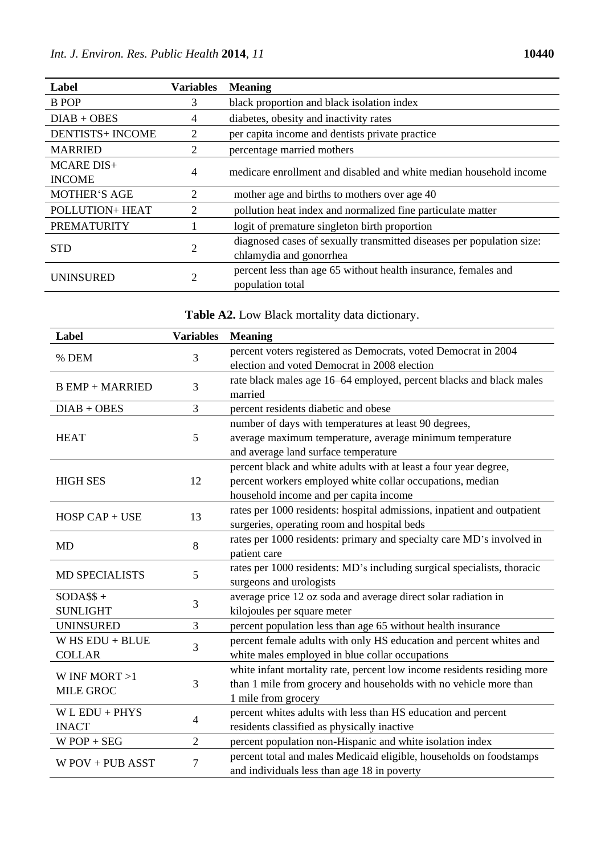| Label                   | <b>Variables</b> | <b>Meaning</b>                                                        |  |  |  |
|-------------------------|------------------|-----------------------------------------------------------------------|--|--|--|
| <b>B</b> POP            | 3                | black proportion and black isolation index                            |  |  |  |
| $DIAB + OBES$           | 4                | diabetes, obesity and inactivity rates                                |  |  |  |
| <b>DENTISTS+ INCOME</b> | 2                | per capita income and dentists private practice                       |  |  |  |
| <b>MARRIED</b>          | $\overline{2}$   | percentage married mothers                                            |  |  |  |
| <b>MCARE DIS+</b>       | 4                | medicare enrollment and disabled and white median household income    |  |  |  |
| <b>INCOME</b>           |                  |                                                                       |  |  |  |
| <b>MOTHER'S AGE</b>     | 2                | mother age and births to mothers over age 40                          |  |  |  |
| POLLUTION+ HEAT         | $\overline{2}$   | pollution heat index and normalized fine particulate matter           |  |  |  |
| <b>PREMATURITY</b>      |                  | logit of premature singleton birth proportion                         |  |  |  |
| <b>STD</b>              | $\overline{2}$   | diagnosed cases of sexually transmitted diseases per population size: |  |  |  |
|                         |                  | chlamydia and gonorrhea                                               |  |  |  |
| <b>UNINSURED</b>        | 2                | percent less than age 65 without health insurance, females and        |  |  |  |
|                         |                  | population total                                                      |  |  |  |

**Table A2.** Low Black mortality data dictionary.

| Label                               | <b>Variables</b>         | <b>Meaning</b>                                                          |
|-------------------------------------|--------------------------|-------------------------------------------------------------------------|
| % DEM                               | 3                        | percent voters registered as Democrats, voted Democrat in 2004          |
|                                     |                          | election and voted Democrat in 2008 election                            |
| <b>B EMP + MARRIED</b>              | 3                        | rate black males age 16-64 employed, percent blacks and black males     |
|                                     |                          | married                                                                 |
| $DIAB + OBES$                       | 3                        | percent residents diabetic and obese                                    |
|                                     |                          | number of days with temperatures at least 90 degrees,                   |
| <b>HEAT</b>                         | 5                        | average maximum temperature, average minimum temperature                |
|                                     |                          | and average land surface temperature                                    |
|                                     |                          | percent black and white adults with at least a four year degree,        |
| <b>HIGH SES</b>                     | 12                       | percent workers employed white collar occupations, median               |
|                                     |                          | household income and per capita income                                  |
| $HOSP CAP + USE$                    | 13                       | rates per 1000 residents: hospital admissions, inpatient and outpatient |
|                                     |                          | surgeries, operating room and hospital beds                             |
| <b>MD</b>                           | 8                        | rates per 1000 residents: primary and specialty care MD's involved in   |
|                                     |                          | patient care                                                            |
| <b>MD SPECIALISTS</b>               | 5                        | rates per 1000 residents: MD's including surgical specialists, thoracic |
|                                     |                          | surgeons and urologists                                                 |
| $SODAS$$ +                          | 3                        | average price 12 oz soda and average direct solar radiation in          |
| <b>SUNLIGHT</b>                     |                          | kilojoules per square meter                                             |
| <b>UNINSURED</b>                    | 3                        | percent population less than age 65 without health insurance            |
| $W$ HS $EDU + BLUE$                 | 3                        | percent female adults with only HS education and percent whites and     |
| <b>COLLAR</b>                       |                          | white males employed in blue collar occupations                         |
|                                     |                          | white infant mortality rate, percent low income residents residing more |
| W INF MORT $>1$<br><b>MILE GROC</b> | 3                        | than 1 mile from grocery and households with no vehicle more than       |
|                                     |                          | 1 mile from grocery                                                     |
| $W L EDU + PHYS$                    |                          | percent whites adults with less than HS education and percent           |
| <b>INACT</b>                        | $\overline{\mathcal{A}}$ | residents classified as physically inactive                             |
| $W$ POP + SEG                       | $\overline{2}$           | percent population non-Hispanic and white isolation index               |
|                                     | 7                        | percent total and males Medicaid eligible, households on foodstamps     |
| $W$ POV + PUB ASST                  |                          | and individuals less than age 18 in poverty                             |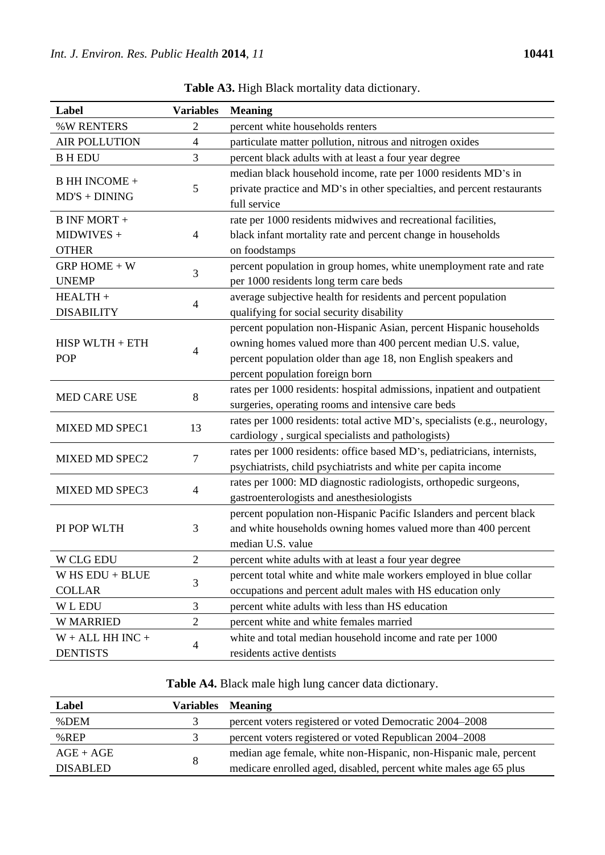| Label                 | <b>Variables</b>         | <b>Meaning</b>                                                             |
|-----------------------|--------------------------|----------------------------------------------------------------------------|
| %W RENTERS            | 2                        | percent white households renters                                           |
| <b>AIR POLLUTION</b>  | $\overline{4}$           | particulate matter pollution, nitrous and nitrogen oxides                  |
| <b>B H EDU</b>        | 3                        | percent black adults with at least a four year degree                      |
| <b>B HH INCOME +</b>  |                          | median black household income, rate per 1000 residents MD's in             |
| $MD'S + DIMING$       | $\mathfrak{S}$           | private practice and MD's in other specialties, and percent restaurants    |
|                       |                          | full service                                                               |
| <b>B INF MORT +</b>   |                          | rate per 1000 residents midwives and recreational facilities,              |
| MIDWIVES +            | $\overline{\mathcal{A}}$ | black infant mortality rate and percent change in households               |
| <b>OTHER</b>          |                          | on foodstamps                                                              |
| $GRP$ HOME + W        | 3                        | percent population in group homes, white unemployment rate and rate        |
| <b>UNEMP</b>          |                          | per 1000 residents long term care beds                                     |
| HEALTH +              | 4                        | average subjective health for residents and percent population             |
| <b>DISABILITY</b>     |                          | qualifying for social security disability                                  |
|                       |                          | percent population non-Hispanic Asian, percent Hispanic households         |
| $HISP$ WLTH $+$ ETH   |                          | owning homes valued more than 400 percent median U.S. value,               |
| <b>POP</b>            | 4                        | percent population older than age 18, non English speakers and             |
|                       |                          | percent population foreign born                                            |
| <b>MED CARE USE</b>   | 8                        | rates per 1000 residents: hospital admissions, inpatient and outpatient    |
|                       |                          | surgeries, operating rooms and intensive care beds                         |
| <b>MIXED MD SPEC1</b> | 13                       | rates per 1000 residents: total active MD's, specialists (e.g., neurology, |
|                       |                          | cardiology, surgical specialists and pathologists)                         |
| MIXED MD SPEC2        | 7                        | rates per 1000 residents: office based MD's, pediatricians, internists,    |
|                       |                          | psychiatrists, child psychiatrists and white per capita income             |
| <b>MIXED MD SPEC3</b> | 4                        | rates per 1000: MD diagnostic radiologists, orthopedic surgeons,           |
|                       |                          | gastroenterologists and anesthesiologists                                  |
|                       |                          | percent population non-Hispanic Pacific Islanders and percent black        |
| PI POP WLTH           | 3                        | and white households owning homes valued more than 400 percent             |
|                       |                          | median U.S. value                                                          |
| W CLG EDU             | $\overline{2}$           | percent white adults with at least a four year degree                      |
| $W$ HS $EDU + BLUE$   | 3                        | percent total white and white male workers employed in blue collar         |
| <b>COLLAR</b>         |                          | occupations and percent adult males with HS education only                 |
| <b>WLEDU</b>          | 3                        | percent white adults with less than HS education                           |
| <b>W MARRIED</b>      | $\overline{2}$           | percent white and white females married                                    |
| $W + ALL HH INC +$    |                          | white and total median household income and rate per 1000                  |
| <b>DENTISTS</b>       | 4                        | residents active dentists                                                  |

**Table A3.** High Black mortality data dictionary.

## **Table A4.** Black male high lung cancer data dictionary.

| Label           | Variables Meaning |                                                                   |
|-----------------|-------------------|-------------------------------------------------------------------|
| %DEM            |                   | percent voters registered or voted Democratic 2004–2008           |
| $%$ REP         |                   | percent voters registered or voted Republican 2004–2008           |
| $AGE + AGE$     |                   | median age female, white non-Hispanic, non-Hispanic male, percent |
| <b>DISABLED</b> |                   | medicare enrolled aged, disabled, percent white males age 65 plus |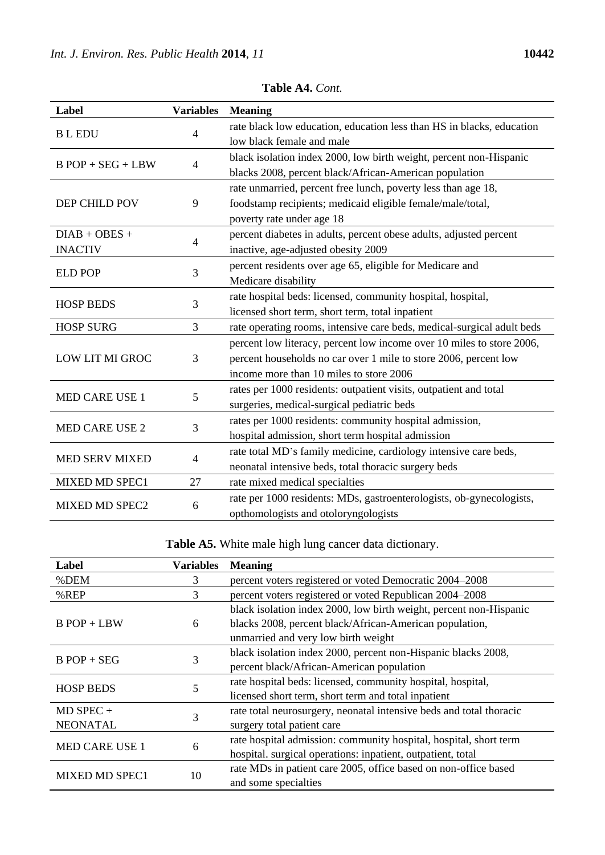| Label                 | <b>Variables</b> | <b>Meaning</b>                                                         |  |  |
|-----------------------|------------------|------------------------------------------------------------------------|--|--|
|                       |                  | rate black low education, education less than HS in blacks, education  |  |  |
| <b>BLEDU</b>          | 4                | low black female and male                                              |  |  |
| $B POP + SEG + LBW$   | $\overline{4}$   | black isolation index 2000, low birth weight, percent non-Hispanic     |  |  |
|                       |                  | blacks 2008, percent black/African-American population                 |  |  |
|                       |                  | rate unmarried, percent free lunch, poverty less than age 18,          |  |  |
| DEP CHILD POV         | 9                | foodstamp recipients; medicaid eligible female/male/total,             |  |  |
|                       |                  | poverty rate under age 18                                              |  |  |
| $DIAB + OBES +$       | $\overline{4}$   | percent diabetes in adults, percent obese adults, adjusted percent     |  |  |
| <b>INACTIV</b>        |                  | inactive, age-adjusted obesity 2009                                    |  |  |
| <b>ELD POP</b>        | 3                | percent residents over age 65, eligible for Medicare and               |  |  |
|                       |                  | Medicare disability                                                    |  |  |
| <b>HOSP BEDS</b>      | 3                | rate hospital beds: licensed, community hospital, hospital,            |  |  |
|                       |                  | licensed short term, short term, total inpatient                       |  |  |
| <b>HOSP SURG</b>      | $\overline{3}$   | rate operating rooms, intensive care beds, medical-surgical adult beds |  |  |
|                       |                  | percent low literacy, percent low income over 10 miles to store 2006,  |  |  |
| LOW LIT MI GROC       | 3                | percent households no car over 1 mile to store 2006, percent low       |  |  |
|                       |                  | income more than 10 miles to store 2006                                |  |  |
| <b>MED CARE USE 1</b> | 5                | rates per 1000 residents: outpatient visits, outpatient and total      |  |  |
|                       |                  | surgeries, medical-surgical pediatric beds                             |  |  |
| <b>MED CARE USE 2</b> | 3                | rates per 1000 residents: community hospital admission,                |  |  |
|                       |                  | hospital admission, short term hospital admission                      |  |  |
| <b>MED SERV MIXED</b> | 4                | rate total MD's family medicine, cardiology intensive care beds,       |  |  |
|                       |                  | neonatal intensive beds, total thoracic surgery beds                   |  |  |
| MIXED MD SPEC1        | 27               | rate mixed medical specialties                                         |  |  |
| <b>MIXED MD SPEC2</b> |                  | rate per 1000 residents: MDs, gastroenterologists, ob-gynecologists,   |  |  |
|                       | 6                | opthomologists and otoloryngologists                                   |  |  |

**Table A4.** *Cont.*

# **Table A5.** White male high lung cancer data dictionary.

| Label                 | <b>Variables</b> | <b>Meaning</b>                                                      |
|-----------------------|------------------|---------------------------------------------------------------------|
| %DEM                  | 3                | percent voters registered or voted Democratic 2004-2008             |
| %REP                  | 3                | percent voters registered or voted Republican 2004–2008             |
|                       |                  | black isolation index 2000, low birth weight, percent non-Hispanic  |
| $B POP + LBW$         | 6                | blacks 2008, percent black/African-American population,             |
|                       |                  | unmarried and very low birth weight                                 |
| $B POP + SEG$         | 3                | black isolation index 2000, percent non-Hispanic blacks 2008,       |
|                       |                  | percent black/African-American population                           |
| <b>HOSP BEDS</b>      | 5                | rate hospital beds: licensed, community hospital, hospital,         |
|                       |                  | licensed short term, short term and total inpatient                 |
| $MD$ SPEC +           | 3                | rate total neurosurgery, neonatal intensive beds and total thoracic |
| <b>NEONATAL</b>       |                  | surgery total patient care                                          |
| <b>MED CARE USE 1</b> |                  | rate hospital admission: community hospital, hospital, short term   |
|                       | 6                | hospital. surgical operations: inpatient, outpatient, total         |
| MIXED MD SPEC1        |                  | rate MDs in patient care 2005, office based on non-office based     |
|                       | 10               | and some specialties                                                |